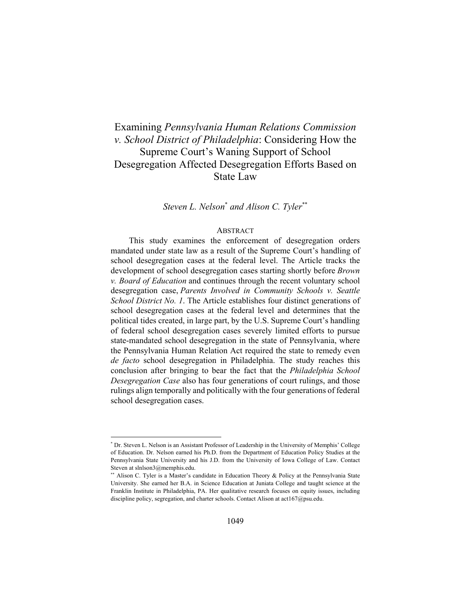# Examining *Pennsylvania Human Relations Commission v. School District of Philadelphia*: Considering How the Supreme Court's Waning Support of School Desegregation Affected Desegregation Efforts Based on State Law

*Steven L. Nelson*\*  *and Alison C. Tyler*\*\*

#### ABSTRACT

This study examines the enforcement of desegregation orders mandated under state law as a result of the Supreme Court's handling of school desegregation cases at the federal level. The Article tracks the development of school desegregation cases starting shortly before *Brown v. Board of Education* and continues through the recent voluntary school desegregation case, *Parents Involved in Community Schools v. Seattle School District No. 1*. The Article establishes four distinct generations of school desegregation cases at the federal level and determines that the political tides created, in large part, by the U.S. Supreme Court's handling of federal school desegregation cases severely limited efforts to pursue state-mandated school desegregation in the state of Pennsylvania, where the Pennsylvania Human Relation Act required the state to remedy even *de facto* school desegregation in Philadelphia. The study reaches this conclusion after bringing to bear the fact that the *Philadelphia School Desegregation Case* also has four generations of court rulings, and those rulings align temporally and politically with the four generations of federal school desegregation cases.

<sup>\*</sup> Dr. Steven L. Nelson is an Assistant Professor of Leadership in the University of Memphis' College of Education. Dr. Nelson earned his Ph.D. from the Department of Education Policy Studies at the Pennsylvania State University and his J.D. from the University of Iowa College of Law. Contact Steven at slnlson3@memphis.edu.

<sup>\*\*</sup> Alison C. Tyler is a Master's candidate in Education Theory & Policy at the Pennsylvania State University. She earned her B.A. in Science Education at Juniata College and taught science at the Franklin Institute in Philadelphia, PA. Her qualitative research focuses on equity issues, including discipline policy, segregation, and charter schools. Contact Alison at act167@psu.edu.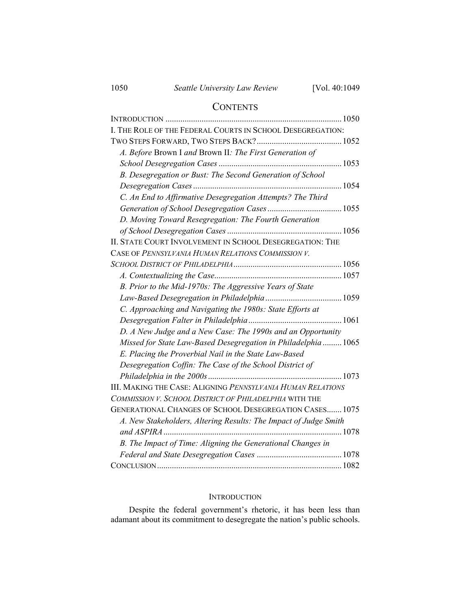# **CONTENTS**

| I. THE ROLE OF THE FEDERAL COURTS IN SCHOOL DESEGREGATION:       |      |
|------------------------------------------------------------------|------|
|                                                                  |      |
| A. Before Brown I and Brown II: The First Generation of          |      |
|                                                                  |      |
| B. Desegregation or Bust: The Second Generation of School        |      |
|                                                                  |      |
| C. An End to Affirmative Desegregation Attempts? The Third       |      |
|                                                                  |      |
| D. Moving Toward Resegregation: The Fourth Generation            |      |
|                                                                  |      |
| II. STATE COURT INVOLVEMENT IN SCHOOL DESEGREGATION: THE         |      |
| CASE OF PENNSYLVANIA HUMAN RELATIONS COMMISSION V.               |      |
|                                                                  |      |
|                                                                  |      |
| B. Prior to the Mid-1970s: The Aggressive Years of State         |      |
|                                                                  |      |
| C. Approaching and Navigating the 1980s: State Efforts at        |      |
|                                                                  |      |
| D. A New Judge and a New Case: The 1990s and an Opportunity      |      |
| Missed for State Law-Based Desegregation in Philadelphia  1065   |      |
| E. Placing the Proverbial Nail in the State Law-Based            |      |
| Desegregation Coffin: The Case of the School District of         |      |
|                                                                  |      |
| III. MAKING THE CASE: ALIGNING PENNSYLVANIA HUMAN RELATIONS      |      |
| COMMISSION V. SCHOOL DISTRICT OF PHILADELPHIA WITH THE           |      |
| GENERATIONAL CHANGES OF SCHOOL DESEGREGATION CASES 1075          |      |
| A. New Stakeholders, Altering Results: The Impact of Judge Smith |      |
|                                                                  | 1078 |
| B. The Impact of Time: Aligning the Generational Changes in      |      |
|                                                                  |      |
|                                                                  |      |

# **INTRODUCTION**

Despite the federal government's rhetoric, it has been less than adamant about its commitment to desegregate the nation's public schools.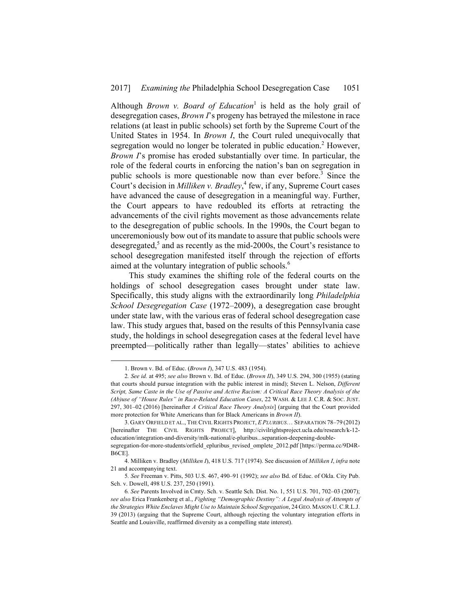Although *Brown v. Board of Education*<sup>1</sup> is held as the holy grail of desegregation cases, *Brown I*'s progeny has betrayed the milestone in race relations (at least in public schools) set forth by the Supreme Court of the United States in 1954. In *Brown I*, the Court ruled unequivocally that segregation would no longer be tolerated in public education.<sup>2</sup> However, *Brown I*'s promise has eroded substantially over time. In particular, the role of the federal courts in enforcing the nation's ban on segregation in public schools is more questionable now than ever before.<sup>3</sup> Since the Court's decision in *Milliken v. Bradley*, 4 few, if any, Supreme Court cases have advanced the cause of desegregation in a meaningful way. Further, the Court appears to have redoubled its efforts at retracting the advancements of the civil rights movement as those advancements relate to the desegregation of public schools. In the 1990s, the Court began to unceremoniously bow out of its mandate to assure that public schools were desegregated,<sup>5</sup> and as recently as the mid-2000s, the Court's resistance to school desegregation manifested itself through the rejection of efforts aimed at the voluntary integration of public schools.<sup>6</sup>

This study examines the shifting role of the federal courts on the holdings of school desegregation cases brought under state law. Specifically, this study aligns with the extraordinarily long *Philadelphia School Desegregation Case* (1972–2009), a desegregation case brought under state law, with the various eras of federal school desegregation case law. This study argues that, based on the results of this Pennsylvania case study, the holdings in school desegregation cases at the federal level have preempted—politically rather than legally—states' abilities to achieve

 <sup>1.</sup> Brown v. Bd. of Educ. (*Brown I*), 347 U.S. 483 (1954).

<sup>2</sup>*. See id.* at 495; *see also* Brown v. Bd. of Educ. (*Brown II*), 349 U.S. 294, 300 (1955) (stating that courts should pursue integration with the public interest in mind); Steven L. Nelson, *Different Script, Same Caste in the Use of Passive and Active Racism: A Critical Race Theory Analysis of the (Ab)use of "House Rules" in Race-Related Education Cases*, 22 WASH. & LEE J. C.R. & SOC. JUST. 297, 301–02 (2016) [hereinafter *A Critical Race Theory Analysis*] (arguing that the Court provided more protection for White Americans than for Black Americans in *Brown II*).

 <sup>3.</sup> GARY ORFIELD ET AL., THE CIVIL RIGHTS PROJECT, *E PLURIBUS*… SEPARATION 78–79 (2012) [hereinafter THE CIVIL RIGHTS PROJECT], http://civilrightsproject.ucla.edu/research/k-12 education/integration-and-diversity/mlk-national/e-pluribus...separation-deepening-double-

segregation-for-more-students/orfield\_epluribus\_revised\_omplete\_2012.pdf [https://perma.cc/9D4R-B6CE].

 <sup>4.</sup> Milliken v. Bradley (*Milliken I*), 418 U.S. 717 (1974). See discussion of *Milliken I*, *infra* note 21 and accompanying text.

<sup>5</sup>*. See* Freeman v. Pitts, 503 U.S. 467, 490–91 (1992); *see also* Bd. of Educ. of Okla. City Pub. Sch. v. Dowell, 498 U.S. 237, 250 (1991).

<sup>6</sup>*. See* Parents Involved in Cmty. Sch. v. Seattle Sch. Dist. No. 1, 551 U.S. 701, 702–03 (2007); *see also* Erica Frankenberg et al., *Fighting "Demographic Destiny": A Legal Analysis of Attempts of the Strategies White Enclaves Might Use to Maintain School Segregation*, 24 GEO. MASON U. C.R.L.J. 39 (2013) (arguing that the Supreme Court, although rejecting the voluntary integration efforts in Seattle and Louisville, reaffirmed diversity as a compelling state interest).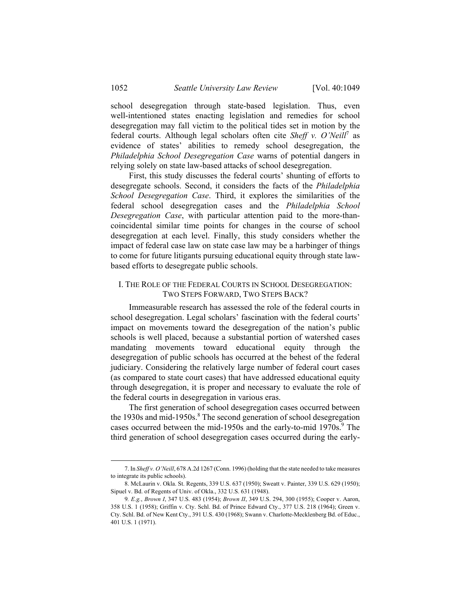school desegregation through state-based legislation. Thus, even well-intentioned states enacting legislation and remedies for school desegregation may fall victim to the political tides set in motion by the federal courts. Although legal scholars often cite *Sheff v. O'Neill*<sup>7</sup> as evidence of states' abilities to remedy school desegregation, the *Philadelphia School Desegregation Case* warns of potential dangers in relying solely on state law-based attacks of school desegregation.

First, this study discusses the federal courts' shunting of efforts to desegregate schools. Second, it considers the facts of the *Philadelphia School Desegregation Case*. Third, it explores the similarities of the federal school desegregation cases and the *Philadelphia School Desegregation Case*, with particular attention paid to the more-thancoincidental similar time points for changes in the course of school desegregation at each level. Finally, this study considers whether the impact of federal case law on state case law may be a harbinger of things to come for future litigants pursuing educational equity through state lawbased efforts to desegregate public schools.

#### I. THE ROLE OF THE FEDERAL COURTS IN SCHOOL DESEGREGATION: TWO STEPS FORWARD, TWO STEPS BACK?

Immeasurable research has assessed the role of the federal courts in school desegregation. Legal scholars' fascination with the federal courts' impact on movements toward the desegregation of the nation's public schools is well placed, because a substantial portion of watershed cases mandating movements toward educational equity through the desegregation of public schools has occurred at the behest of the federal judiciary. Considering the relatively large number of federal court cases (as compared to state court cases) that have addressed educational equity through desegregation, it is proper and necessary to evaluate the role of the federal courts in desegregation in various eras.

The first generation of school desegregation cases occurred between the 1930s and mid-1950s.<sup>8</sup> The second generation of school desegregation cases occurred between the mid-1950s and the early-to-mid 1970s.<sup>9</sup> The third generation of school desegregation cases occurred during the early-

1

 <sup>7.</sup> In *Sheff v. O'Neill*, 678 A.2d 1267 (Conn. 1996) (holding that the state needed to take measures to integrate its public schools).

 <sup>8.</sup> McLaurin v. Okla. St. Regents, 339 U.S. 637 (1950); Sweatt v. Painter, 339 U.S. 629 (1950); Sipuel v. Bd. of Regents of Univ. of Okla., 332 U.S. 631 (1948).

<sup>9</sup>*. E.g.*, *Brown I*, 347 U.S. 483 (1954); *Brown II*, 349 U.S. 294, 300 (1955); Cooper v. Aaron, 358 U.S. 1 (1958); Griffin v. Cty. Schl. Bd. of Prince Edward Cty., 377 U.S. 218 (1964); Green v. Cty. Schl. Bd. of New Kent Cty., 391 U.S. 430 (1968); Swann v. Charlotte-Mecklenberg Bd. of Educ., 401 U.S. 1 (1971).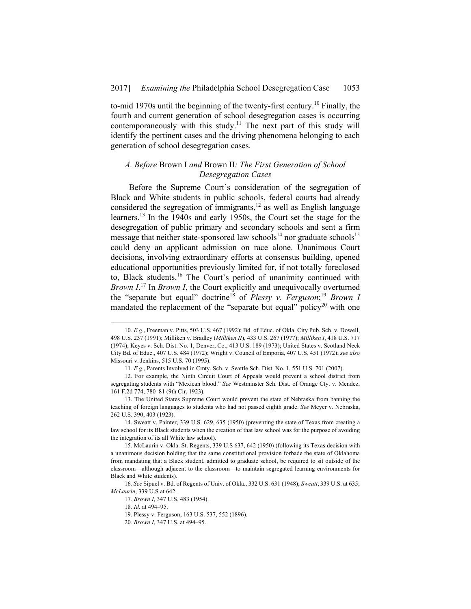to-mid 1970s until the beginning of the twenty-first century.10 Finally, the fourth and current generation of school desegregation cases is occurring contemporaneously with this study.<sup>11</sup> The next part of this study will identify the pertinent cases and the driving phenomena belonging to each generation of school desegregation cases.

### *A. Before* Brown I *and* Brown II*: The First Generation of School Desegregation Cases*

Before the Supreme Court's consideration of the segregation of Black and White students in public schools, federal courts had already considered the segregation of immigrants,<sup>12</sup> as well as English language learners.13 In the 1940s and early 1950s, the Court set the stage for the desegregation of public primary and secondary schools and sent a firm message that neither state-sponsored law schools<sup>14</sup> nor graduate schools<sup>15</sup> could deny an applicant admission on race alone. Unanimous Court decisions, involving extraordinary efforts at consensus building, opened educational opportunities previously limited for, if not totally foreclosed to, Black students.16 The Court's period of unanimity continued with *Brown I*. 17 In *Brown I*, the Court explicitly and unequivocally overturned the "separate but equal" doctrine<sup>18</sup> of *Plessy v. Ferguson*;<sup>19</sup> *Brown 1* mandated the replacement of the "separate but equal" policy<sup>20</sup> with one

 <sup>10</sup>*. E.g.*, Freeman v. Pitts, 503 U.S. 467 (1992); Bd. of Educ. of Okla. City Pub. Sch. v. Dowell, 498 U.S. 237 (1991); Milliken v. Bradley (*Milliken II*), 433 U.S. 267 (1977); *Milliken I*, 418 U.S. 717 (1974); Keyes v. Sch. Dist. No. 1, Denver, Co., 413 U.S. 189 (1973); United States v. Scotland Neck City Bd. of Educ., 407 U.S. 484 (1972); Wright v. Council of Emporia, 407 U.S. 451 (1972); *see also* Missouri v. Jenkins, 515 U.S. 70 (1995).

<sup>11</sup>*. E.g.*, Parents Involved in Cmty. Sch. v. Seattle Sch. Dist. No. 1, 551 U.S. 701 (2007).

 <sup>12.</sup> For example, the Ninth Circuit Court of Appeals would prevent a school district from segregating students with "Mexican blood." *See* Westminster Sch. Dist. of Orange Cty. v. Mendez, 161 F.2d 774, 780–81 (9th Cir. 1923).

 <sup>13.</sup> The United States Supreme Court would prevent the state of Nebraska from banning the teaching of foreign languages to students who had not passed eighth grade. *See* Meyer v. Nebraska, 262 U.S. 390, 403 (1923).

 <sup>14.</sup> Sweatt v. Painter, 339 U.S. 629, 635 (1950) (preventing the state of Texas from creating a law school for its Black students when the creation of that law school was for the purpose of avoiding the integration of its all White law school).

 <sup>15.</sup> McLaurin v. Okla. St. Regents, 339 U.S 637, 642 (1950) (following its Texas decision with a unanimous decision holding that the same constitutional provision forbade the state of Oklahoma from mandating that a Black student, admitted to graduate school, be required to sit outside of the classroom—although adjacent to the classroom—to maintain segregated learning environments for Black and White students).

<sup>16</sup>*. See* Sipuel v. Bd. of Regents of Univ. of Okla., 332 U.S. 631 (1948); *Sweatt*, 339 U.S. at 635; *McLaurin*, 339 U.S at 642.

<sup>17</sup>*. Brown I*, 347 U.S. 483 (1954).

<sup>18</sup>*. Id.* at 494–95.

 <sup>19.</sup> Plessy v. Ferguson, 163 U.S. 537, 552 (1896).

<sup>20</sup>*. Brown I*, 347 U.S. at 494–95.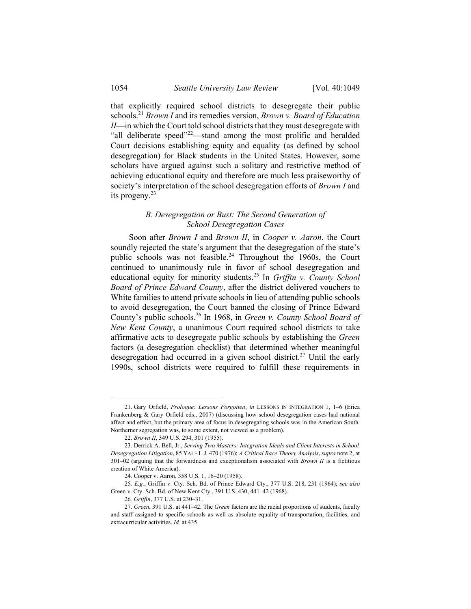that explicitly required school districts to desegregate their public schools.<sup>21</sup> *Brown I* and its remedies version, *Brown v. Board of Education II*—in which the Court told school districts that they must desegregate with "all deliberate speed" $2^2$  stand among the most prolific and heralded Court decisions establishing equity and equality (as defined by school desegregation) for Black students in the United States. However, some scholars have argued against such a solitary and restrictive method of achieving educational equity and therefore are much less praiseworthy of society's interpretation of the school desegregation efforts of *Brown I* and its progeny.23

# *B. Desegregation or Bust: The Second Generation of School Desegregation Cases*

Soon after *Brown I* and *Brown II*, in *Cooper v. Aaron*, the Court soundly rejected the state's argument that the desegregation of the state's public schools was not feasible.<sup>24</sup> Throughout the 1960s, the Court continued to unanimously rule in favor of school desegregation and educational equity for minority students.<sup>25</sup> In *Griffin v. County School Board of Prince Edward County*, after the district delivered vouchers to White families to attend private schools in lieu of attending public schools to avoid desegregation, the Court banned the closing of Prince Edward County's public schools.26 In 1968, in *Green v. County School Board of New Kent County*, a unanimous Court required school districts to take affirmative acts to desegregate public schools by establishing the *Green* factors (a desegregation checklist) that determined whether meaningful desegregation had occurred in a given school district.<sup>27</sup> Until the early 1990s, school districts were required to fulfill these requirements in

 <sup>21.</sup> Gary Orfield, *Prologue: Lessons Forgotten*, *in* LESSONS IN INTEGRATION 1, 1–6 (Erica Frankenberg & Gary Orfield eds., 2007) (discussing how school desegregation cases had national affect and effect, but the primary area of focus in desegregating schools was in the American South. Northerner segregation was, to some extent, not viewed as a problem).

<sup>22</sup>*. Brown II*, 349 U.S. 294, 301 (1955).

 <sup>23.</sup> Derrick A. Bell, Jr., *Serving Two Masters: Integration Ideals and Client Interests in School Desegregation Litigation*, 85 YALE L.J. 470 (1976); *A Critical Race Theory Analysis*, *supra* note 2, at 301–02 (arguing that the forwardness and exceptionalism associated with *Brown II* is a fictitious creation of White America).

 <sup>24.</sup> Cooper v. Aaron, 358 U.S. 1, 16–20 (1958).

<sup>25</sup>*. E.g.*, Griffin v. Cty. Sch. Bd. of Prince Edward Cty., 377 U.S. 218, 231 (1964); *see also*  Green v. Cty. Sch. Bd. of New Kent Cty., 391 U.S. 430, 441–42 (1968).

<sup>26</sup>*. Griffin*, 377 U.S. at 230–31.

<sup>27</sup>*. Green*, 391 U.S. at 441–42. The *Green* factors are the racial proportions of students, faculty and staff assigned to specific schools as well as absolute equality of transportation, facilities, and extracurricular activities. *Id.* at 435.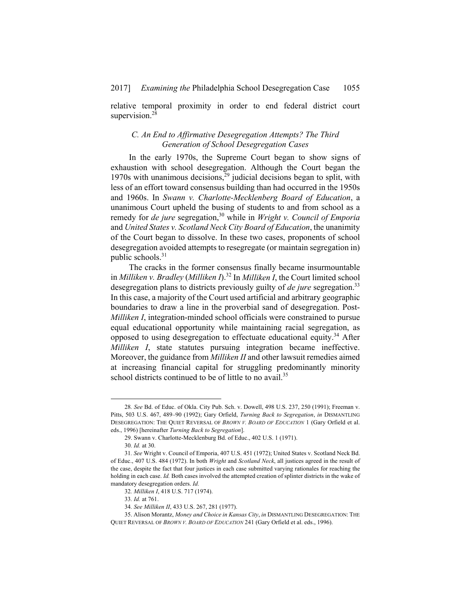relative temporal proximity in order to end federal district court supervision.<sup>28</sup>

# *C. An End to Affirmative Desegregation Attempts? The Third Generation of School Desegregation Cases*

In the early 1970s, the Supreme Court began to show signs of exhaustion with school desegregation. Although the Court began the 1970s with unanimous decisions,  $29$  judicial decisions began to split, with less of an effort toward consensus building than had occurred in the 1950s and 1960s. In *Swann v. Charlotte-Mecklenberg Board of Education*, a unanimous Court upheld the busing of students to and from school as a remedy for *de jure* segregation,<sup>30</sup> while in *Wright v. Council of Emporia* and *United States v. Scotland Neck City Board of Education*, the unanimity of the Court began to dissolve. In these two cases, proponents of school desegregation avoided attempts to resegregate (or maintain segregation in) public schools.<sup>31</sup>

The cracks in the former consensus finally became insurmountable in *Milliken v. Bradley* (*Milliken I*).32 In *Milliken I*, the Court limited school desegregation plans to districts previously guilty of *de jure* segregation.<sup>33</sup> In this case, a majority of the Court used artificial and arbitrary geographic boundaries to draw a line in the proverbial sand of desegregation. Post-*Milliken I*, integration-minded school officials were constrained to pursue equal educational opportunity while maintaining racial segregation, as opposed to using desegregation to effectuate educational equity.34 After *Milliken I*, state statutes pursuing integration became ineffective. Moreover, the guidance from *Milliken II* and other lawsuit remedies aimed at increasing financial capital for struggling predominantly minority school districts continued to be of little to no avail.<sup>35</sup>

 <sup>28</sup>*. See* Bd. of Educ. of Okla. City Pub. Sch. v. Dowell, 498 U.S. 237, 250 (1991); Freeman v. Pitts, 503 U.S. 467, 489–90 (1992); Gary Orfield, *Turning Back to Segregation*, *in* DISMANTLING DESEGREGATION: THE QUIET REVERSAL OF *BROWN V. BOARD OF EDUCATION* 1 (Gary Orfield et al. eds., 1996) [hereinafter *Turning Back to Segregation*].

 <sup>29.</sup> Swann v. Charlotte-Mecklenburg Bd. of Educ., 402 U.S. 1 (1971).

<sup>30</sup>*. Id.* at 30.

<sup>31</sup>*. See* Wright v. Council of Emporia, 407 U.S. 451 (1972); United States v. Scotland Neck Bd. of Educ., 407 U.S. 484 (1972). In both *Wright* and *Scotland Neck*, all justices agreed in the result of the case, despite the fact that four justices in each case submitted varying rationales for reaching the holding in each case. *Id.* Both cases involved the attempted creation of splinter districts in the wake of mandatory desegregation orders. *Id.*

<sup>32</sup>*. Milliken I*, 418 U.S. 717 (1974).

<sup>33</sup>*. Id.* at 761.

<sup>34</sup>*. See Milliken II*, 433 U.S. 267, 281 (1977).

 <sup>35.</sup> Alison Morantz, *Money and Choice in Kansas City*, *in* DISMANTLING DESEGREGATION: THE QUIET REVERSAL OF *BROWN V. BOARD OF EDUCATION* 241 (Gary Orfield et al. eds., 1996).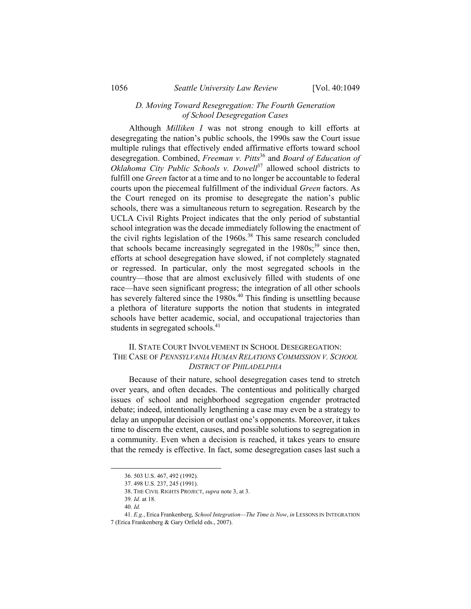### *D. Moving Toward Resegregation: The Fourth Generation of School Desegregation Cases*

Although *Milliken I* was not strong enough to kill efforts at desegregating the nation's public schools, the 1990s saw the Court issue multiple rulings that effectively ended affirmative efforts toward school desegregation. Combined, *Freeman v. Pitts*36 and *Board of Education of Oklahoma City Public Schools v. Dowell*<sup>37</sup> allowed school districts to fulfill one *Green* factor at a time and to no longer be accountable to federal courts upon the piecemeal fulfillment of the individual *Green* factors. As the Court reneged on its promise to desegregate the nation's public schools, there was a simultaneous return to segregation. Research by the UCLA Civil Rights Project indicates that the only period of substantial school integration was the decade immediately following the enactment of the civil rights legislation of the 1960s.<sup>38</sup> This same research concluded that schools became increasingly segregated in the  $1980s$ ;<sup>39</sup> since then, efforts at school desegregation have slowed, if not completely stagnated or regressed. In particular, only the most segregated schools in the country—those that are almost exclusively filled with students of one race—have seen significant progress; the integration of all other schools has severely faltered since the 1980s.<sup>40</sup> This finding is unsettling because a plethora of literature supports the notion that students in integrated schools have better academic, social, and occupational trajectories than students in segregated schools.<sup>41</sup>

#### II. STATE COURT INVOLVEMENT IN SCHOOL DESEGREGATION: THE CASE OF *PENNSYLVANIA HUMAN RELATIONS COMMISSION V. SCHOOL DISTRICT OF PHILADELPHIA*

Because of their nature, school desegregation cases tend to stretch over years, and often decades. The contentious and politically charged issues of school and neighborhood segregation engender protracted debate; indeed, intentionally lengthening a case may even be a strategy to delay an unpopular decision or outlast one's opponents. Moreover, it takes time to discern the extent, causes, and possible solutions to segregation in a community. Even when a decision is reached, it takes years to ensure that the remedy is effective. In fact, some desegregation cases last such a

1

 <sup>36. 503</sup> U.S. 467, 492 (1992).

 <sup>37. 498</sup> U.S. 237, 245 (1991).

 <sup>38.</sup> THE CIVIL RIGHTS PROJECT, *supra* note 3, at 3.

<sup>39</sup>*. Id.* at 18.

<sup>40</sup>*. Id.*

<sup>41</sup>*. E.g.*, Erica Frankenberg, *School Integration—The Time is Now*, *in* LESSONS IN INTEGRATION 7 (Erica Frankenberg & Gary Orfield eds., 2007).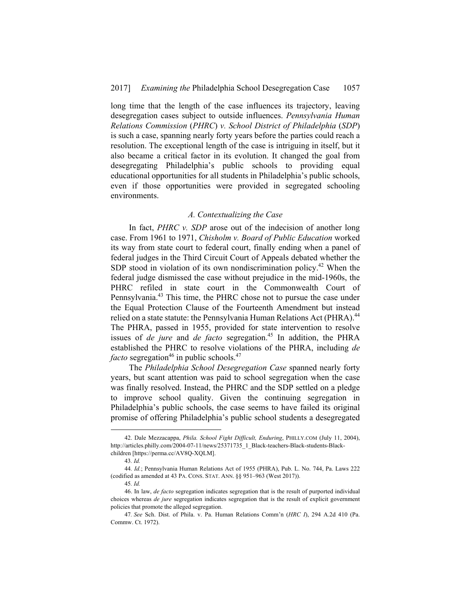long time that the length of the case influences its trajectory, leaving desegregation cases subject to outside influences. *Pennsylvania Human Relations Commission* (*PHRC*) *v. School District of Philadelphia* (*SDP*) is such a case, spanning nearly forty years before the parties could reach a resolution. The exceptional length of the case is intriguing in itself, but it also became a critical factor in its evolution. It changed the goal from desegregating Philadelphia's public schools to providing equal educational opportunities for all students in Philadelphia's public schools, even if those opportunities were provided in segregated schooling environments.

#### *A. Contextualizing the Case*

In fact, *PHRC v. SDP* arose out of the indecision of another long case. From 1961 to 1971, *Chisholm v. Board of Public Education* worked its way from state court to federal court, finally ending when a panel of federal judges in the Third Circuit Court of Appeals debated whether the SDP stood in violation of its own nondiscrimination policy.<sup>42</sup> When the federal judge dismissed the case without prejudice in the mid-1960s, the PHRC refiled in state court in the Commonwealth Court of Pennsylvania.43 This time, the PHRC chose not to pursue the case under the Equal Protection Clause of the Fourteenth Amendment but instead relied on a state statute: the Pennsylvania Human Relations Act (PHRA).<sup>44</sup> The PHRA, passed in 1955, provided for state intervention to resolve issues of *de jure* and *de facto* segregation.<sup>45</sup> In addition, the PHRA established the PHRC to resolve violations of the PHRA, including *de facto* segregation<sup>46</sup> in public schools.<sup>47</sup>

The *Philadelphia School Desegregation Case* spanned nearly forty years, but scant attention was paid to school segregation when the case was finally resolved. Instead, the PHRC and the SDP settled on a pledge to improve school quality. Given the continuing segregation in Philadelphia's public schools, the case seems to have failed its original promise of offering Philadelphia's public school students a desegregated

 <sup>42.</sup> Dale Mezzacappa, *Phila. School Fight Difficult, Enduring*, PHILLY.COM (July 11, 2004), http://articles.philly.com/2004-07-11/news/25371735\_1\_Black-teachers-Black-students-Blackchildren [https://perma.cc/AV8Q-XQLM].

<sup>43</sup>*. Id.*

<sup>44</sup>*. Id.*; Pennsylvania Human Relations Act of 1955 (PHRA), Pub. L. No. 744, Pa. Laws 222 (codified as amended at 43 PA. CONS. STAT. ANN. §§ 951–963 (West 2017)).

<sup>45</sup>*. Id.*

 <sup>46.</sup> In law, *de facto* segregation indicates segregation that is the result of purported individual choices whereas *de jure* segregation indicates segregation that is the result of explicit government policies that promote the alleged segregation.

<sup>47</sup>*. See* Sch. Dist. of Phila. v. Pa. Human Relations Comm'n (*HRC I*), 294 A.2d 410 (Pa. Commw. Ct. 1972).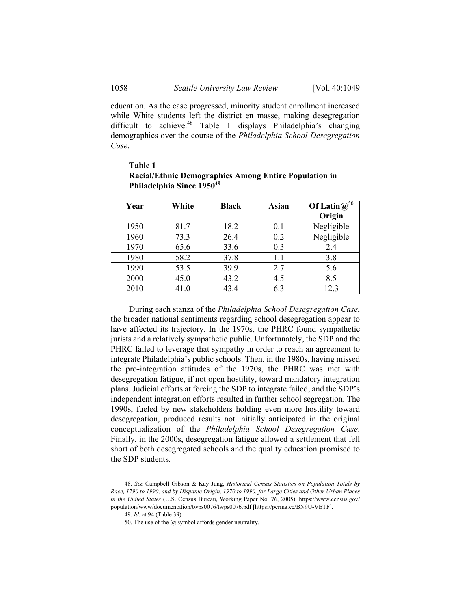education. As the case progressed, minority student enrollment increased while White students left the district en masse, making desegregation difficult to achieve.<sup>48</sup> Table 1 displays Philadelphia's changing demographics over the course of the *Philadelphia School Desegregation Case*.

| Year | White | <b>Black</b> | Asian | Of Latin $\omega^{50}$<br>Origin |
|------|-------|--------------|-------|----------------------------------|
| 1950 | 81.7  | 18.2         | 0.1   | Negligible                       |
| 1960 | 73.3  | 26.4         | 0.2   | Negligible                       |
| 1970 | 65.6  | 33.6         | 0.3   | 2.4                              |
| 1980 | 58.2  | 37.8         | 1.1   | 3.8                              |
| 1990 | 53.5  | 39.9         | 2.7   | 5.6                              |
| 2000 | 45.0  | 43.2         | 4.5   | 8.5                              |
| 2010 | 41.0  | 43.4         | 6.3   | 12.3                             |

# **Table 1 Racial/Ethnic Demographics Among Entire Population in Philadelphia Since 195049**

During each stanza of the *Philadelphia School Desegregation Case*, the broader national sentiments regarding school desegregation appear to have affected its trajectory. In the 1970s, the PHRC found sympathetic jurists and a relatively sympathetic public. Unfortunately, the SDP and the PHRC failed to leverage that sympathy in order to reach an agreement to integrate Philadelphia's public schools. Then, in the 1980s, having missed the pro-integration attitudes of the 1970s, the PHRC was met with desegregation fatigue, if not open hostility, toward mandatory integration plans. Judicial efforts at forcing the SDP to integrate failed, and the SDP's independent integration efforts resulted in further school segregation. The 1990s, fueled by new stakeholders holding even more hostility toward desegregation, produced results not initially anticipated in the original conceptualization of the *Philadelphia School Desegregation Case*. Finally, in the 2000s, desegregation fatigue allowed a settlement that fell short of both desegregated schools and the quality education promised to the SDP students.

 <sup>48</sup>*. See* Campbell Gibson & Kay Jung, *Historical Census Statistics on Population Totals by Race, 1790 to 1990, and by Hispanic Origin, 1970 to 1990, for Large Cities and Other Urban Places in the United States* (U.S. Census Bureau, Working Paper No. 76, 2005), https://www.census.gov/ population/www/documentation/twps0076/twps0076.pdf [https://perma.cc/BN9U-VETF].

<sup>49</sup>*. Id.* at 94 (Table 39).

 <sup>50.</sup> The use of the @ symbol affords gender neutrality.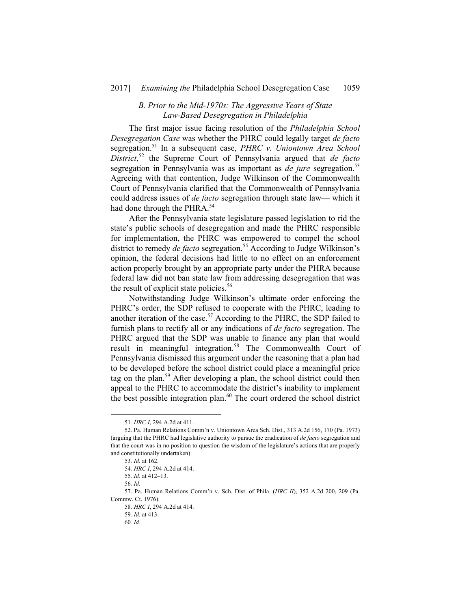### *B. Prior to the Mid-1970s: The Aggressive Years of State Law-Based Desegregation in Philadelphia*

The first major issue facing resolution of the *Philadelphia School Desegregation Case* was whether the PHRC could legally target *de facto* segregation.51 In a subsequent case, *PHRC v. Uniontown Area School District*, 52 the Supreme Court of Pennsylvania argued that *de facto* segregation in Pennsylvania was as important as *de jure* segregation.<sup>53</sup> Agreeing with that contention, Judge Wilkinson of the Commonwealth Court of Pennsylvania clarified that the Commonwealth of Pennsylvania could address issues of *de facto* segregation through state law— which it had done through the PHRA.<sup>54</sup>

After the Pennsylvania state legislature passed legislation to rid the state's public schools of desegregation and made the PHRC responsible for implementation, the PHRC was empowered to compel the school district to remedy *de facto* segregation.<sup>55</sup> According to Judge Wilkinson's opinion, the federal decisions had little to no effect on an enforcement action properly brought by an appropriate party under the PHRA because federal law did not ban state law from addressing desegregation that was the result of explicit state policies.<sup>56</sup>

Notwithstanding Judge Wilkinson's ultimate order enforcing the PHRC's order, the SDP refused to cooperate with the PHRC, leading to another iteration of the case.<sup>57</sup> According to the PHRC, the SDP failed to furnish plans to rectify all or any indications of *de facto* segregation. The PHRC argued that the SDP was unable to finance any plan that would result in meaningful integration.58 The Commonwealth Court of Pennsylvania dismissed this argument under the reasoning that a plan had to be developed before the school district could place a meaningful price tag on the plan.<sup>59</sup> After developing a plan, the school district could then appeal to the PHRC to accommodate the district's inability to implement the best possible integration plan.<sup>60</sup> The court ordered the school district

 <sup>51</sup>*. HRC I*, 294 A.2d at 411.

 <sup>52.</sup> Pa. Human Relations Comm'n v. Uniontown Area Sch. Dist., 313 A.2d 156, 170 (Pa. 1973) (arguing that the PHRC had legislative authority to pursue the eradication of *de facto* segregation and that the court was in no position to question the wisdom of the legislature's actions that are properly and constitutionally undertaken).

<sup>53</sup>*. Id.* at 162.

<sup>54</sup>*. HRC I*, 294 A.2d at 414.

<sup>55</sup>*. Id.* at 412–13.

<sup>56</sup>*. Id.*

 <sup>57.</sup> Pa. Human Relations Comm'n v. Sch. Dist. of Phila. (*HRC II*), 352 A.2d 200, 209 (Pa. Commw. Ct. 1976).

<sup>58</sup>*. HRC I*, 294 A.2d at 414.

<sup>59</sup>*. Id.* at 413.

<sup>60</sup>*. Id.*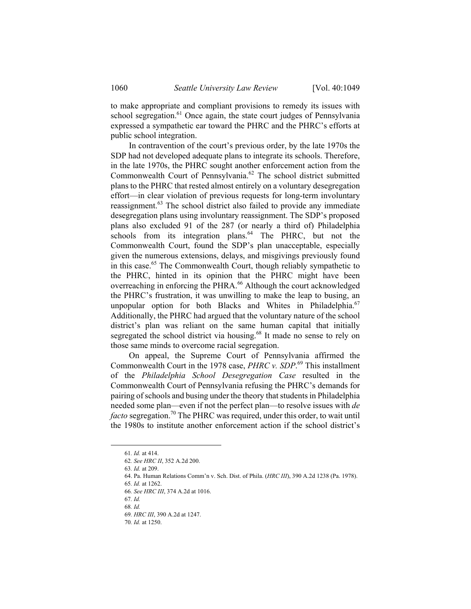to make appropriate and compliant provisions to remedy its issues with school segregation. $61$  Once again, the state court judges of Pennsylvania expressed a sympathetic ear toward the PHRC and the PHRC's efforts at public school integration.

In contravention of the court's previous order, by the late 1970s the SDP had not developed adequate plans to integrate its schools. Therefore, in the late 1970s, the PHRC sought another enforcement action from the Commonwealth Court of Pennsylvania.<sup>62</sup> The school district submitted plans to the PHRC that rested almost entirely on a voluntary desegregation effort—in clear violation of previous requests for long-term involuntary reassignment.63 The school district also failed to provide any immediate desegregation plans using involuntary reassignment. The SDP's proposed plans also excluded 91 of the 287 (or nearly a third of) Philadelphia schools from its integration plans. $64$  The PHRC, but not the Commonwealth Court, found the SDP's plan unacceptable, especially given the numerous extensions, delays, and misgivings previously found in this case.<sup>65</sup> The Commonwealth Court, though reliably sympathetic to the PHRC, hinted in its opinion that the PHRC might have been overreaching in enforcing the PHRA.<sup>66</sup> Although the court acknowledged the PHRC's frustration, it was unwilling to make the leap to busing, an unpopular option for both Blacks and Whites in Philadelphia. $67$ Additionally, the PHRC had argued that the voluntary nature of the school district's plan was reliant on the same human capital that initially segregated the school district via housing.<sup>68</sup> It made no sense to rely on those same minds to overcome racial segregation.

On appeal, the Supreme Court of Pennsylvania affirmed the Commonwealth Court in the 1978 case, *PHRC v. SDP*. 69 This installment of the *Philadelphia School Desegregation Case* resulted in the Commonwealth Court of Pennsylvania refusing the PHRC's demands for pairing of schools and busing under the theory that students in Philadelphia needed some plan—even if not the perfect plan—to resolve issues with *de facto* segregation.<sup>70</sup> The PHRC was required, under this order, to wait until the 1980s to institute another enforcement action if the school district's

 64. Pa. Human Relations Comm'n v. Sch. Dist. of Phila. (*HRC III*), 390 A.2d 1238 (Pa. 1978). 65*. Id.* at 1262.

67*. Id.*

 <sup>61</sup>*. Id.* at 414.

<sup>62</sup>*. See HRC II*, 352 A.2d 200.

<sup>63</sup>*. Id.* at 209.

<sup>66</sup>*. See HRC III*, 374 A.2d at 1016.

<sup>68</sup>*. Id.*

<sup>69</sup>*. HRC III*, 390 A.2d at 1247.

<sup>70</sup>*. Id.* at 1250.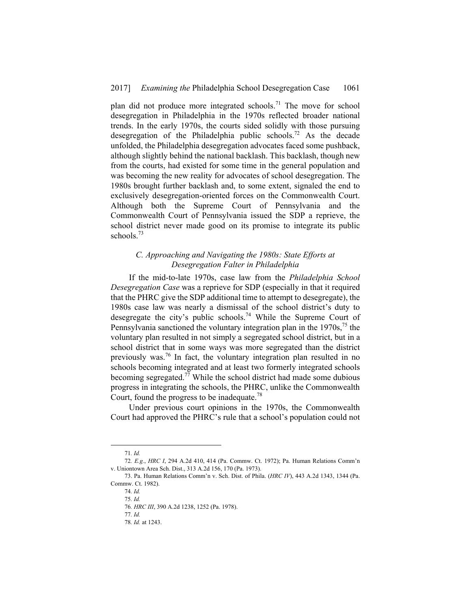plan did not produce more integrated schools.<sup>71</sup> The move for school desegregation in Philadelphia in the 1970s reflected broader national trends. In the early 1970s, the courts sided solidly with those pursuing desegregation of the Philadelphia public schools.<sup>72</sup> As the decade unfolded, the Philadelphia desegregation advocates faced some pushback, although slightly behind the national backlash. This backlash, though new from the courts, had existed for some time in the general population and was becoming the new reality for advocates of school desegregation. The 1980s brought further backlash and, to some extent, signaled the end to exclusively desegregation-oriented forces on the Commonwealth Court. Although both the Supreme Court of Pennsylvania and the Commonwealth Court of Pennsylvania issued the SDP a reprieve, the school district never made good on its promise to integrate its public schools.<sup>73</sup>

# *C. Approaching and Navigating the 1980s: State Efforts at Desegregation Falter in Philadelphia*

If the mid-to-late 1970s, case law from the *Philadelphia School Desegregation Case* was a reprieve for SDP (especially in that it required that the PHRC give the SDP additional time to attempt to desegregate), the 1980s case law was nearly a dismissal of the school district's duty to desegregate the city's public schools.<sup>74</sup> While the Supreme Court of Pennsylvania sanctioned the voluntary integration plan in the  $1970s$ , <sup>75</sup> the voluntary plan resulted in not simply a segregated school district, but in a school district that in some ways was more segregated than the district previously was.76 In fact, the voluntary integration plan resulted in no schools becoming integrated and at least two formerly integrated schools becoming segregated.<sup>77</sup> While the school district had made some dubious progress in integrating the schools, the PHRC, unlike the Commonwealth Court, found the progress to be inadequate.<sup>78</sup>

Under previous court opinions in the 1970s, the Commonwealth Court had approved the PHRC's rule that a school's population could not

 <sup>71</sup>*. Id.*

<sup>72</sup>*. E.g.*, *HRC I*, 294 A.2d 410, 414 (Pa. Commw. Ct. 1972); Pa. Human Relations Comm'n v. Uniontown Area Sch. Dist., 313 A.2d 156, 170 (Pa. 1973).

 <sup>73.</sup> Pa. Human Relations Comm'n v. Sch. Dist. of Phila. (*HRC IV*), 443 A.2d 1343, 1344 (Pa. Commw. Ct. 1982).

<sup>74</sup>*. Id.*

<sup>75</sup>*. Id.* 

<sup>76</sup>*. HRC III*, 390 A.2d 1238, 1252 (Pa. 1978).

<sup>77</sup>*. Id.*

<sup>78</sup>*. Id.* at 1243.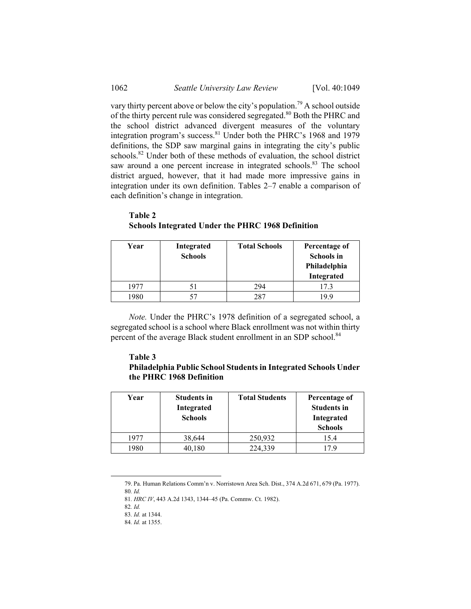vary thirty percent above or below the city's population.<sup>79</sup> A school outside of the thirty percent rule was considered segregated.80 Both the PHRC and the school district advanced divergent measures of the voluntary integration program's success.81 Under both the PHRC's 1968 and 1979 definitions, the SDP saw marginal gains in integrating the city's public schools.<sup>82</sup> Under both of these methods of evaluation, the school district saw around a one percent increase in integrated schools.<sup>83</sup> The school district argued, however, that it had made more impressive gains in integration under its own definition. Tables 2–7 enable a comparison of each definition's change in integration.

| Year | Integrated<br><b>Schools</b> | <b>Total Schools</b> | Percentage of<br><b>Schools</b> in<br>Philadelphia |
|------|------------------------------|----------------------|----------------------------------------------------|
|      |                              |                      | Integrated                                         |
| 1977 |                              | 294                  | 17.3                                               |
| 1980 |                              | 287                  | 19.9                                               |

**Table 2 Schools Integrated Under the PHRC 1968 Definition** 

*Note.* Under the PHRC's 1978 definition of a segregated school, a segregated school is a school where Black enrollment was not within thirty percent of the average Black student enrollment in an SDP school.<sup>84</sup>

# **Table 3**

# **Philadelphia Public School Students in Integrated Schools Under the PHRC 1968 Definition**

| Year | <b>Students in</b><br>Integrated<br><b>Schools</b> | <b>Total Students</b> | Percentage of<br><b>Students in</b><br>Integrated<br><b>Schools</b> |
|------|----------------------------------------------------|-----------------------|---------------------------------------------------------------------|
| 1977 | 38,644                                             | 250,932               | 15.4                                                                |
| 980  | 40,180                                             | 224,339               |                                                                     |

 <sup>79.</sup> Pa. Human Relations Comm'n v. Norristown Area Sch. Dist., 374 A.2d 671, 679 (Pa. 1977).

<sup>80</sup>*. Id.*

<sup>81</sup>*. HRC IV*, 443 A.2d 1343, 1344–45 (Pa. Commw. Ct. 1982).

<sup>82</sup>*. Id.*

<sup>83</sup>*. Id.* at 1344.

<sup>84</sup>*. Id.* at 1355.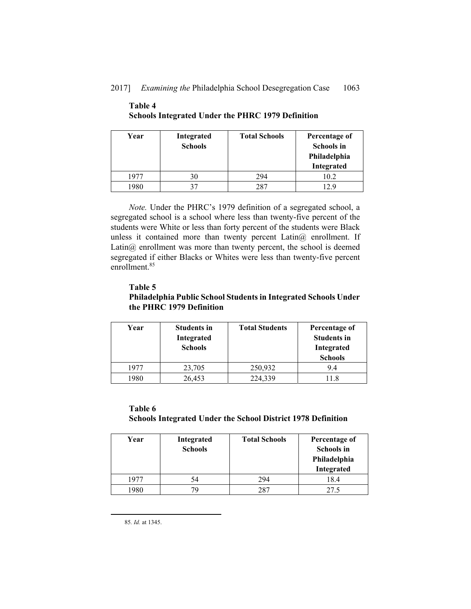# 2017] *Examining the* Philadelphia School Desegregation Case 1063

| Year | Integrated<br><b>Schools</b> | <b>Total Schools</b> | Percentage of<br><b>Schools in</b><br>Philadelphia<br>Integrated |
|------|------------------------------|----------------------|------------------------------------------------------------------|
| 1977 | 30                           | 294                  | 10.2                                                             |
| 1980 | 37                           | 287                  | 129                                                              |

# **Table 4 Schools Integrated Under the PHRC 1979 Definition**

*Note.* Under the PHRC's 1979 definition of a segregated school, a segregated school is a school where less than twenty-five percent of the students were White or less than forty percent of the students were Black unless it contained more than twenty percent Latin@ enrollment. If Latin $@$  enrollment was more than twenty percent, the school is deemed segregated if either Blacks or Whites were less than twenty-five percent enrollment.<sup>85</sup>

# **Table 5 Philadelphia Public School Students in Integrated Schools Under the PHRC 1979 Definition**

| Year | <b>Students in</b><br>Integrated<br><b>Schools</b> | <b>Total Students</b> | Percentage of<br><b>Students in</b><br>Integrated<br><b>Schools</b> |
|------|----------------------------------------------------|-----------------------|---------------------------------------------------------------------|
| 1977 | 23,705                                             | 250,932               | 94                                                                  |
| 1980 | 26,453                                             | 224.339               |                                                                     |

# **Table 6 Schools Integrated Under the School District 1978 Definition**

| Year | Integrated<br><b>Schools</b> | <b>Total Schools</b> | Percentage of<br><b>Schools in</b><br>Philadelphia<br>Integrated |
|------|------------------------------|----------------------|------------------------------------------------------------------|
| 1977 | 54                           | 294                  | 18.4                                                             |
| 1980 | 79                           | 287                  |                                                                  |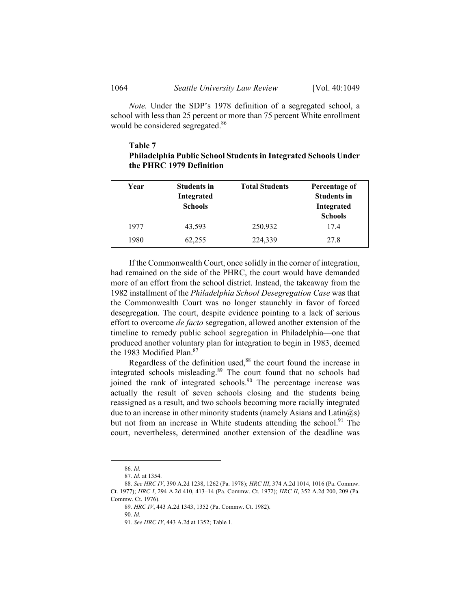*Note.* Under the SDP's 1978 definition of a segregated school, a school with less than 25 percent or more than 75 percent White enrollment would be considered segregated.<sup>86</sup>

# **Table 7 Philadelphia Public School Students in Integrated Schools Under the PHRC 1979 Definition**

| Year | <b>Students in</b><br>Integrated<br><b>Schools</b> | <b>Total Students</b> | Percentage of<br><b>Students in</b><br>Integrated<br><b>Schools</b> |
|------|----------------------------------------------------|-----------------------|---------------------------------------------------------------------|
| 1977 | 43,593                                             | 250,932               | 17.4                                                                |
| 1980 | 62,255                                             | 224,339               | 27.8                                                                |

If the Commonwealth Court, once solidly in the corner of integration, had remained on the side of the PHRC, the court would have demanded more of an effort from the school district. Instead, the takeaway from the 1982 installment of the *Philadelphia School Desegregation Case* was that the Commonwealth Court was no longer staunchly in favor of forced desegregation. The court, despite evidence pointing to a lack of serious effort to overcome *de facto* segregation, allowed another extension of the timeline to remedy public school segregation in Philadelphia—one that produced another voluntary plan for integration to begin in 1983, deemed the 1983 Modified Plan.<sup>87</sup>

Regardless of the definition used,<sup>88</sup> the court found the increase in integrated schools misleading.89 The court found that no schools had joined the rank of integrated schools.<sup>90</sup> The percentage increase was actually the result of seven schools closing and the students being reassigned as a result, and two schools becoming more racially integrated due to an increase in other minority students (namely Asians and Latin $(a)$ s) but not from an increase in White students attending the school.<sup>91</sup> The court, nevertheless, determined another extension of the deadline was

 <sup>86</sup>*. Id.*

<sup>87</sup>*. Id.* at 1354.

<sup>88</sup>*. See HRC IV*, 390 A.2d 1238, 1262 (Pa. 1978); *HRC III*, 374 A.2d 1014, 1016 (Pa. Commw. Ct. 1977); *HRC I*, 294 A.2d 410, 413–14 (Pa. Commw. Ct. 1972); *HRC II*, 352 A.2d 200, 209 (Pa. Commw. Ct. 1976).

<sup>89</sup>*. HRC IV*, 443 A.2d 1343, 1352 (Pa. Commw. Ct. 1982).

<sup>90</sup>*. Id.*

<sup>91</sup>*. See HRC IV*, 443 A.2d at 1352; Table 1.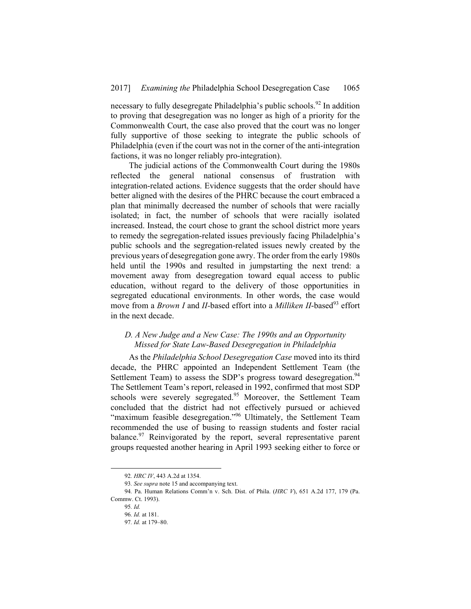necessary to fully desegregate Philadelphia's public schools.<sup>92</sup> In addition to proving that desegregation was no longer as high of a priority for the Commonwealth Court, the case also proved that the court was no longer fully supportive of those seeking to integrate the public schools of Philadelphia (even if the court was not in the corner of the anti-integration factions, it was no longer reliably pro-integration).

The judicial actions of the Commonwealth Court during the 1980s reflected the general national consensus of frustration with integration-related actions. Evidence suggests that the order should have better aligned with the desires of the PHRC because the court embraced a plan that minimally decreased the number of schools that were racially isolated; in fact, the number of schools that were racially isolated increased. Instead, the court chose to grant the school district more years to remedy the segregation-related issues previously facing Philadelphia's public schools and the segregation-related issues newly created by the previous years of desegregation gone awry. The order from the early 1980s held until the 1990s and resulted in jumpstarting the next trend: a movement away from desegregation toward equal access to public education, without regard to the delivery of those opportunities in segregated educational environments. In other words, the case would move from a *Brown I* and *II*-based effort into a *Milliken II*-based<sup>93</sup> effort in the next decade.

# *D. A New Judge and a New Case: The 1990s and an Opportunity Missed for State Law-Based Desegregation in Philadelphia*

As the *Philadelphia School Desegregation Case* moved into its third decade, the PHRC appointed an Independent Settlement Team (the Settlement Team) to assess the SDP's progress toward desegregation.<sup>94</sup> The Settlement Team's report, released in 1992, confirmed that most SDP schools were severely segregated.<sup>95</sup> Moreover, the Settlement Team concluded that the district had not effectively pursued or achieved "maximum feasible desegregation."<sup>96</sup> Ultimately, the Settlement Team recommended the use of busing to reassign students and foster racial balance.<sup>97</sup> Reinvigorated by the report, several representative parent groups requested another hearing in April 1993 seeking either to force or

 <sup>92</sup>*. HRC IV*, 443 A.2d at 1354.

<sup>93</sup>*. See supra* note 15 and accompanying text.

<sup>94</sup>*.* Pa. Human Relations Comm'n v. Sch. Dist. of Phila. (*HRC V*), 651 A.2d 177, 179 (Pa. Commw. Ct. 1993).

<sup>95</sup>*. Id.*

<sup>96</sup>*. Id.* at 181.

<sup>97</sup>*. Id.* at 179–80.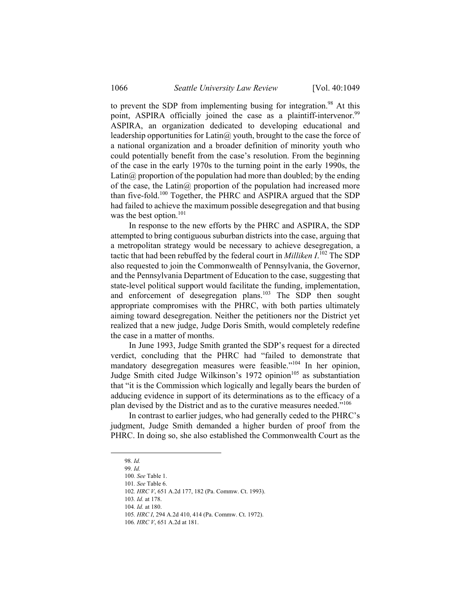to prevent the SDP from implementing busing for integration.<sup>98</sup> At this point, ASPIRA officially joined the case as a plaintiff-intervenor.<sup>99</sup> ASPIRA, an organization dedicated to developing educational and leadership opportunities for Latin@ youth, brought to the case the force of a national organization and a broader definition of minority youth who could potentially benefit from the case's resolution. From the beginning of the case in the early 1970s to the turning point in the early 1990s, the Latin $\omega$  proportion of the population had more than doubled; by the ending of the case, the Latin@ proportion of the population had increased more than five-fold.100 Together, the PHRC and ASPIRA argued that the SDP had failed to achieve the maximum possible desegregation and that busing was the best option.<sup>101</sup>

In response to the new efforts by the PHRC and ASPIRA, the SDP attempted to bring contiguous suburban districts into the case, arguing that a metropolitan strategy would be necessary to achieve desegregation, a tactic that had been rebuffed by the federal court in *Milliken I*. <sup>102</sup> The SDP also requested to join the Commonwealth of Pennsylvania, the Governor, and the Pennsylvania Department of Education to the case, suggesting that state-level political support would facilitate the funding, implementation, and enforcement of desegregation plans.103 The SDP then sought appropriate compromises with the PHRC, with both parties ultimately aiming toward desegregation. Neither the petitioners nor the District yet realized that a new judge, Judge Doris Smith, would completely redefine the case in a matter of months.

In June 1993, Judge Smith granted the SDP's request for a directed verdict, concluding that the PHRC had "failed to demonstrate that mandatory desegregation measures were feasible."<sup>104</sup> In her opinion, Judge Smith cited Judge Wilkinson's 1972 opinion<sup>105</sup> as substantiation that "it is the Commission which logically and legally bears the burden of adducing evidence in support of its determinations as to the efficacy of a plan devised by the District and as to the curative measures needed."<sup>106</sup>

In contrast to earlier judges, who had generally ceded to the PHRC's judgment, Judge Smith demanded a higher burden of proof from the PHRC. In doing so, she also established the Commonwealth Court as the

 <sup>98</sup>*. Id.*

<sup>99</sup>*. Id.*

<sup>100</sup>*. See* Table 1.

<sup>101</sup>*. See* Table 6.

<sup>102</sup>*. HRC V*, 651 A.2d 177, 182 (Pa. Commw. Ct. 1993).

<sup>103</sup>*. Id.* at 178.

<sup>104</sup>*. Id.* at 180.

<sup>105</sup>*. HRC I*, 294 A.2d 410, 414 (Pa. Commw. Ct. 1972).

<sup>106</sup>*. HRC V*, 651 A.2d at 181.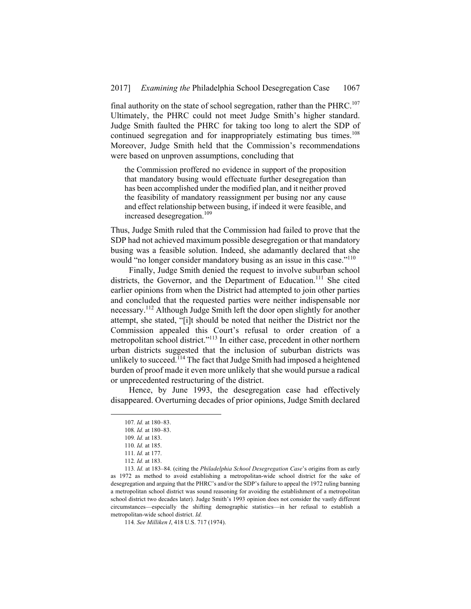final authority on the state of school segregation, rather than the PHRC.<sup>107</sup> Ultimately, the PHRC could not meet Judge Smith's higher standard. Judge Smith faulted the PHRC for taking too long to alert the SDP of continued segregation and for inappropriately estimating bus times.<sup>108</sup> Moreover, Judge Smith held that the Commission's recommendations were based on unproven assumptions, concluding that

the Commission proffered no evidence in support of the proposition that mandatory busing would effectuate further desegregation than has been accomplished under the modified plan, and it neither proved the feasibility of mandatory reassignment per busing nor any cause and effect relationship between busing, if indeed it were feasible, and increased desegregation.<sup>109</sup>

Thus, Judge Smith ruled that the Commission had failed to prove that the SDP had not achieved maximum possible desegregation or that mandatory busing was a feasible solution. Indeed, she adamantly declared that she would "no longer consider mandatory busing as an issue in this case."<sup>110</sup>

Finally, Judge Smith denied the request to involve suburban school districts, the Governor, and the Department of Education.<sup>111</sup> She cited earlier opinions from when the District had attempted to join other parties and concluded that the requested parties were neither indispensable nor necessary.112 Although Judge Smith left the door open slightly for another attempt, she stated, "[i]t should be noted that neither the District nor the Commission appealed this Court's refusal to order creation of a metropolitan school district."113 In either case, precedent in other northern urban districts suggested that the inclusion of suburban districts was unlikely to succeed.<sup> $114$ </sup> The fact that Judge Smith had imposed a heightened burden of proof made it even more unlikely that she would pursue a radical or unprecedented restructuring of the district.

Hence, by June 1993, the desegregation case had effectively disappeared. Overturning decades of prior opinions, Judge Smith declared

 <sup>107</sup>*. Id.* at 180–83.

<sup>108</sup>*. Id.* at 180–83.

<sup>109</sup>*. Id.* at 183.

<sup>110</sup>*. Id.* at 185.

<sup>111</sup>*. Id.* at 177.

<sup>112</sup>*. Id.* at 183.

<sup>113</sup>*. Id.* at 183–84. (citing the *Philadelphia School Desegregation Case*'s origins from as early as 1972 as method to avoid establishing a metropolitan-wide school district for the sake of desegregation and arguing that the PHRC's and/or the SDP's failure to appeal the 1972 ruling banning a metropolitan school district was sound reasoning for avoiding the establishment of a metropolitan school district two decades later). Judge Smith's 1993 opinion does not consider the vastly different circumstances—especially the shifting demographic statistics—in her refusal to establish a metropolitan-wide school district. *Id.* 

<sup>114</sup>*. See Milliken I*, 418 U.S. 717 (1974).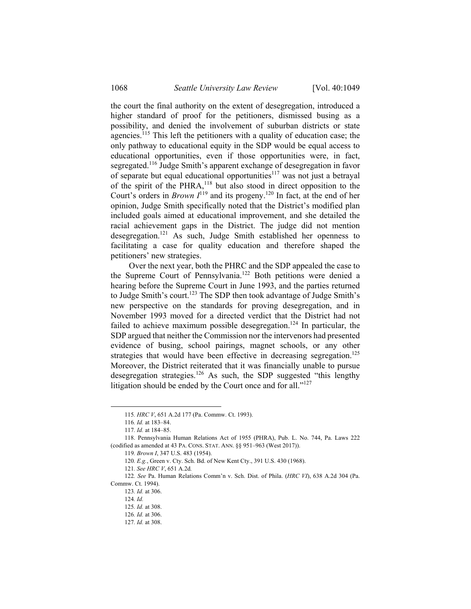the court the final authority on the extent of desegregation, introduced a higher standard of proof for the petitioners, dismissed busing as a possibility, and denied the involvement of suburban districts or state agencies.<sup>115</sup> This left the petitioners with a quality of education case; the only pathway to educational equity in the SDP would be equal access to educational opportunities, even if those opportunities were, in fact, segregated.116 Judge Smith's apparent exchange of desegregation in favor of separate but equal educational opportunities $117$  was not just a betrayal of the spirit of the PHRA,118 but also stood in direct opposition to the Court's orders in *Brown I*<sup>119</sup> and its progeny.<sup>120</sup> In fact, at the end of her opinion, Judge Smith specifically noted that the District's modified plan included goals aimed at educational improvement, and she detailed the racial achievement gaps in the District. The judge did not mention desegregation.121 As such, Judge Smith established her openness to facilitating a case for quality education and therefore shaped the petitioners' new strategies.

Over the next year, both the PHRC and the SDP appealed the case to the Supreme Court of Pennsylvania.122 Both petitions were denied a hearing before the Supreme Court in June 1993, and the parties returned to Judge Smith's court.123 The SDP then took advantage of Judge Smith's new perspective on the standards for proving desegregation, and in November 1993 moved for a directed verdict that the District had not failed to achieve maximum possible desegregation.<sup>124</sup> In particular, the SDP argued that neither the Commission nor the intervenors had presented evidence of busing, school pairings, magnet schools, or any other strategies that would have been effective in decreasing segregation.<sup>125</sup> Moreover, the District reiterated that it was financially unable to pursue desegregation strategies.<sup>126</sup> As such, the SDP suggested "this lengthy litigation should be ended by the Court once and for all."<sup>127</sup>

123*. Id.* at 306.

 <sup>115</sup>*. HRC V*, 651 A.2d 177 (Pa. Commw. Ct. 1993).

<sup>116</sup>*. Id.* at 183–84.

<sup>117</sup>*. Id.* at 184–85.

 <sup>118.</sup> Pennsylvania Human Relations Act of 1955 (PHRA), Pub. L. No. 744, Pa. Laws 222 (codified as amended at 43 PA. CONS. STAT. ANN. §§ 951–963 (West 2017)).

<sup>119</sup>*. Brown I*, 347 U.S. 483 (1954).

<sup>120</sup>*. E.g.*, Green v. Cty. Sch. Bd. of New Kent Cty., 391 U.S. 430 (1968).

<sup>121</sup>*. See HRC V*, 651 A.2d*.*

<sup>122</sup>*. See* Pa. Human Relations Comm'n v. Sch. Dist. of Phila. (*HRC VI*), 638 A.2d 304 (Pa. Commw. Ct. 1994).

<sup>124</sup>*. Id.*

<sup>125</sup>*. Id.* at 308.

<sup>126</sup>*. Id.* at 306.

<sup>127</sup>*. Id.* at 308.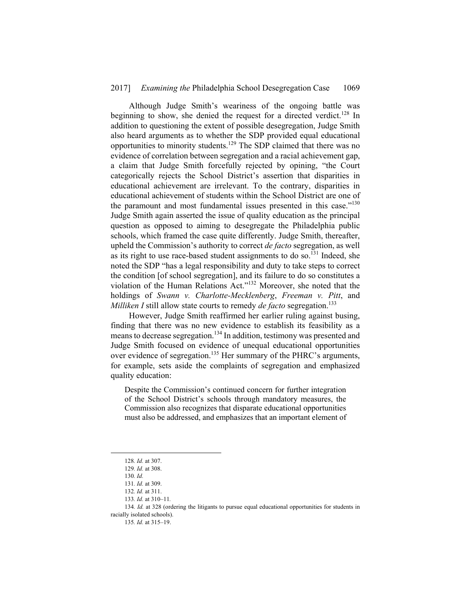Although Judge Smith's weariness of the ongoing battle was beginning to show, she denied the request for a directed verdict.<sup>128</sup> In addition to questioning the extent of possible desegregation, Judge Smith also heard arguments as to whether the SDP provided equal educational opportunities to minority students.129 The SDP claimed that there was no evidence of correlation between segregation and a racial achievement gap, a claim that Judge Smith forcefully rejected by opining, "the Court categorically rejects the School District's assertion that disparities in educational achievement are irrelevant. To the contrary, disparities in educational achievement of students within the School District are one of the paramount and most fundamental issues presented in this case."<sup>130</sup> Judge Smith again asserted the issue of quality education as the principal question as opposed to aiming to desegregate the Philadelphia public schools, which framed the case quite differently. Judge Smith, thereafter, upheld the Commission's authority to correct *de facto* segregation, as well as its right to use race-based student assignments to do so.<sup>131</sup> Indeed, she noted the SDP "has a legal responsibility and duty to take steps to correct the condition [of school segregation], and its failure to do so constitutes a violation of the Human Relations Act."132 Moreover, she noted that the holdings of *Swann v. Charlotte-Mecklenberg*, *Freeman v. Pitt*, and *Milliken I* still allow state courts to remedy *de facto* segregation.<sup>133</sup>

However, Judge Smith reaffirmed her earlier ruling against busing, finding that there was no new evidence to establish its feasibility as a means to decrease segregation.134 In addition, testimony was presented and Judge Smith focused on evidence of unequal educational opportunities over evidence of segregation.135 Her summary of the PHRC's arguments, for example, sets aside the complaints of segregation and emphasized quality education:

Despite the Commission's continued concern for further integration of the School District's schools through mandatory measures, the Commission also recognizes that disparate educational opportunities must also be addressed, and emphasizes that an important element of

 <sup>128</sup>*. Id.* at 307.

<sup>129</sup>*. Id.* at 308.

<sup>130</sup>*. Id.*

<sup>131</sup>*. Id.* at 309.

<sup>132</sup>*. Id.* at 311.

<sup>133</sup>*. Id.* at 310–11*.*

<sup>134</sup>*. Id.* at 328 (ordering the litigants to pursue equal educational opportunities for students in racially isolated schools).

<sup>135</sup>*. Id.* at 315–19.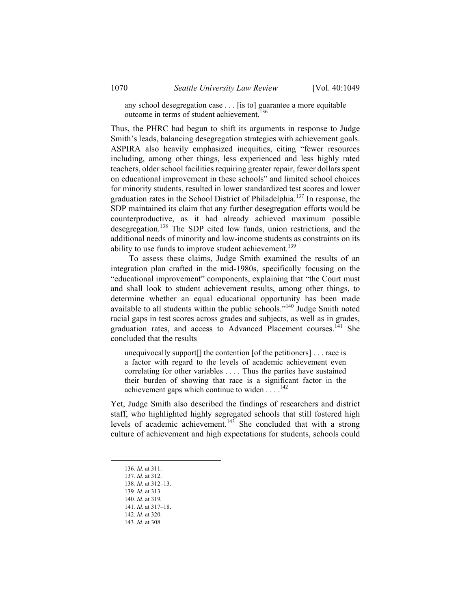any school desegregation case . . . [is to] guarantee a more equitable outcome in terms of student achievement.<sup>136</sup>

Thus, the PHRC had begun to shift its arguments in response to Judge Smith's leads, balancing desegregation strategies with achievement goals. ASPIRA also heavily emphasized inequities, citing "fewer resources including, among other things, less experienced and less highly rated teachers, older school facilities requiring greater repair, fewer dollars spent on educational improvement in these schools" and limited school choices for minority students, resulted in lower standardized test scores and lower graduation rates in the School District of Philadelphia.137 In response, the SDP maintained its claim that any further desegregation efforts would be counterproductive, as it had already achieved maximum possible desegregation.138 The SDP cited low funds, union restrictions, and the additional needs of minority and low-income students as constraints on its ability to use funds to improve student achievement.<sup>139</sup>

To assess these claims, Judge Smith examined the results of an integration plan crafted in the mid-1980s, specifically focusing on the "educational improvement" components, explaining that "the Court must and shall look to student achievement results, among other things, to determine whether an equal educational opportunity has been made available to all students within the public schools."140 Judge Smith noted racial gaps in test scores across grades and subjects, as well as in grades, graduation rates, and access to Advanced Placement courses.<sup> $141$ </sup> She concluded that the results

unequivocally support[] the contention [of the petitioners] . . . race is a factor with regard to the levels of academic achievement even correlating for other variables . . . . Thus the parties have sustained their burden of showing that race is a significant factor in the achievement gaps which continue to widen . . . .142

Yet, Judge Smith also described the findings of researchers and district staff, who highlighted highly segregated schools that still fostered high levels of academic achievement.<sup>143</sup> She concluded that with a strong culture of achievement and high expectations for students, schools could

 <sup>136</sup>*. Id.* at 311.

<sup>137</sup>*. Id.* at 312.

<sup>138</sup>*. Id.* at 312–13.

<sup>139</sup>*. Id.* at 313.

<sup>140</sup>*. Id.* at 319*.*

<sup>141</sup>*. Id.* at 317–18.

<sup>142</sup>*. Id.* at 320. 143*. Id.* at 308.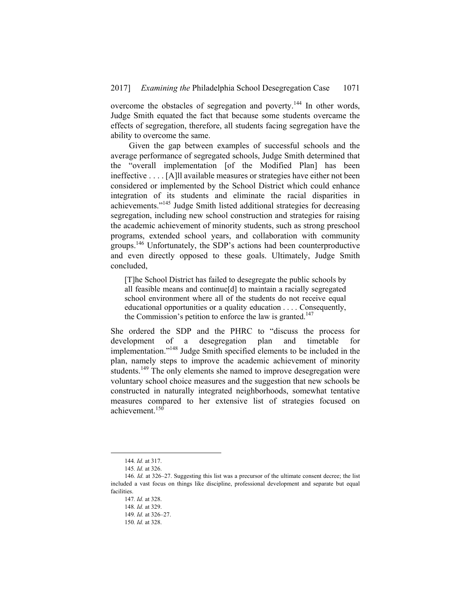overcome the obstacles of segregation and poverty.144 In other words, Judge Smith equated the fact that because some students overcame the effects of segregation, therefore, all students facing segregation have the ability to overcome the same.

Given the gap between examples of successful schools and the average performance of segregated schools, Judge Smith determined that the "overall implementation [of the Modified Plan] has been ineffective . . . . [A]ll available measures or strategies have either not been considered or implemented by the School District which could enhance integration of its students and eliminate the racial disparities in achievements."145 Judge Smith listed additional strategies for decreasing segregation, including new school construction and strategies for raising the academic achievement of minority students, such as strong preschool programs, extended school years, and collaboration with community groups.146 Unfortunately, the SDP's actions had been counterproductive and even directly opposed to these goals. Ultimately, Judge Smith concluded,

[T]he School District has failed to desegregate the public schools by all feasible means and continue[d] to maintain a racially segregated school environment where all of the students do not receive equal educational opportunities or a quality education . . . . Consequently, the Commission's petition to enforce the law is granted.<sup>147</sup>

She ordered the SDP and the PHRC to "discuss the process for development of a desegregation plan and timetable for implementation."148 Judge Smith specified elements to be included in the plan, namely steps to improve the academic achievement of minority students.<sup>149</sup> The only elements she named to improve desegregation were voluntary school choice measures and the suggestion that new schools be constructed in naturally integrated neighborhoods, somewhat tentative measures compared to her extensive list of strategies focused on achievement.150

 <sup>144</sup>*. Id.* at 317.

<sup>145</sup>*. Id.* at 326.

<sup>146</sup>*. Id.* at 326–27. Suggesting this list was a precursor of the ultimate consent decree; the list included a vast focus on things like discipline, professional development and separate but equal facilities.

<sup>147</sup>*. Id.* at 328.

<sup>148</sup>*. Id.* at 329.

<sup>149</sup>*. Id.* at 326–27.

<sup>150</sup>*. Id.* at 328.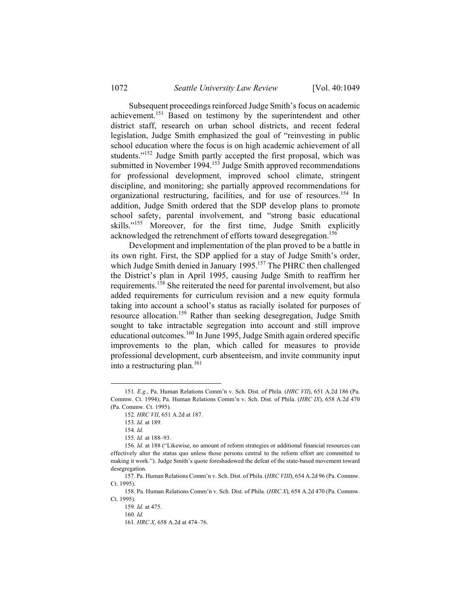Subsequent proceedings reinforced Judge Smith's focus on academic achievement.151 Based on testimony by the superintendent and other district staff, research on urban school districts, and recent federal legislation, Judge Smith emphasized the goal of "reinvesting in public school education where the focus is on high academic achievement of all students."152 Judge Smith partly accepted the first proposal, which was submitted in November 1994.<sup>153</sup> Judge Smith approved recommendations for professional development, improved school climate, stringent discipline, and monitoring; she partially approved recommendations for organizational restructuring, facilities, and for use of resources.<sup>154</sup> In addition, Judge Smith ordered that the SDP develop plans to promote school safety, parental involvement, and "strong basic educational skills."<sup>155</sup> Moreover, for the first time, Judge Smith explicitly acknowledged the retrenchment of efforts toward desegregation.<sup>156</sup>

Development and implementation of the plan proved to be a battle in its own right. First, the SDP applied for a stay of Judge Smith's order, which Judge Smith denied in January 1995.<sup>157</sup> The PHRC then challenged the District's plan in April 1995, causing Judge Smith to reaffirm her requirements.158 She reiterated the need for parental involvement, but also added requirements for curriculum revision and a new equity formula taking into account a school's status as racially isolated for purposes of resource allocation.159 Rather than seeking desegregation, Judge Smith sought to take intractable segregation into account and still improve educational outcomes.160 In June 1995, Judge Smith again ordered specific improvements to the plan, which called for measures to provide professional development, curb absenteeism, and invite community input into a restructuring plan.<sup>161</sup>

 <sup>151</sup>*. E.g.*, Pa. Human Relations Comm'n v. Sch. Dist. of Phila. (*HRC VII*), 651 A.2d 186 (Pa. Commw. Ct. 1994); Pa. Human Relations Comm'n v. Sch. Dist. of Phila. (*HRC IX*), 658 A.2d 470 (Pa. Commw. Ct. 1995)*.*

<sup>152</sup>*. HRC VII*, 651 A.2d at 187.

<sup>153</sup>*. Id.* at 189.

<sup>154</sup>*. Id.*

<sup>155</sup>*. Id.* at 188–93.

<sup>156</sup>*. Id.* at 188 ("Likewise, no amount of reform strategies or additional financial resources can effectively alter the status quo unless those persons central to the reform effort are committed to making it work."). Judge Smith's quote foreshadowed the defeat of the state-based movement toward desegregation.

 <sup>157.</sup> Pa. Human Relations Comm'n v. Sch. Dist. of Phila. (*HRC VIII*), 654 A.2d 96 (Pa. Commw. Ct. 1995).

 <sup>158.</sup> Pa. Human Relations Comm'n v. Sch. Dist. of Phila. (*HRC X*), 658 A.2d 470 (Pa. Commw. Ct. 1995).

<sup>159</sup>*. Id.* at 475.

<sup>160</sup>*. Id.*

<sup>161</sup>*. HRC X*, 658 A.2d at 474–76.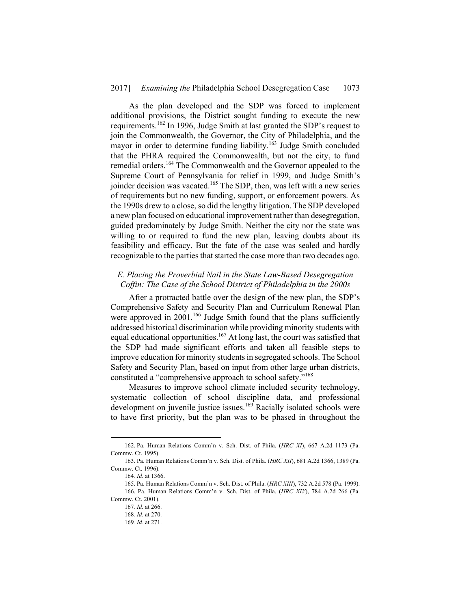As the plan developed and the SDP was forced to implement additional provisions, the District sought funding to execute the new requirements.162 In 1996, Judge Smith at last granted the SDP's request to join the Commonwealth, the Governor, the City of Philadelphia, and the mayor in order to determine funding liability.<sup>163</sup> Judge Smith concluded that the PHRA required the Commonwealth, but not the city, to fund remedial orders.164 The Commonwealth and the Governor appealed to the Supreme Court of Pennsylvania for relief in 1999, and Judge Smith's joinder decision was vacated.<sup>165</sup> The SDP, then, was left with a new series of requirements but no new funding, support, or enforcement powers. As the 1990s drew to a close, so did the lengthy litigation. The SDP developed a new plan focused on educational improvement rather than desegregation, guided predominately by Judge Smith. Neither the city nor the state was willing to or required to fund the new plan, leaving doubts about its feasibility and efficacy. But the fate of the case was sealed and hardly recognizable to the parties that started the case more than two decades ago.

# *E. Placing the Proverbial Nail in the State Law-Based Desegregation Coffin: The Case of the School District of Philadelphia in the 2000s*

After a protracted battle over the design of the new plan, the SDP's Comprehensive Safety and Security Plan and Curriculum Renewal Plan were approved in 2001.<sup>166</sup> Judge Smith found that the plans sufficiently addressed historical discrimination while providing minority students with equal educational opportunities.167 At long last, the court was satisfied that the SDP had made significant efforts and taken all feasible steps to improve education for minority students in segregated schools. The School Safety and Security Plan, based on input from other large urban districts, constituted a "comprehensive approach to school safety."168

Measures to improve school climate included security technology, systematic collection of school discipline data, and professional development on juvenile justice issues.<sup>169</sup> Racially isolated schools were to have first priority, but the plan was to be phased in throughout the

1

 <sup>162.</sup> Pa. Human Relations Comm'n v. Sch. Dist. of Phila. (*HRC XI*), 667 A.2d 1173 (Pa. Commw. Ct. 1995).

 <sup>163.</sup> Pa. Human Relations Comm'n v. Sch. Dist. of Phila. (*HRC XII*), 681 A.2d 1366, 1389 (Pa. Commw. Ct. 1996).

<sup>164</sup>*. Id.* at 1366.

 <sup>165.</sup> Pa. Human Relations Comm'n v. Sch. Dist. of Phila. (*HRC XIII*), 732 A.2d 578 (Pa. 1999). 166. Pa. Human Relations Comm'n v. Sch. Dist. of Phila. (*HRC XIV*), 784 A.2d 266 (Pa.

Commw. Ct. 2001).

<sup>167</sup>*. Id.* at 266.

<sup>168</sup>*. Id.* at 270.

<sup>169</sup>*. Id.* at 271.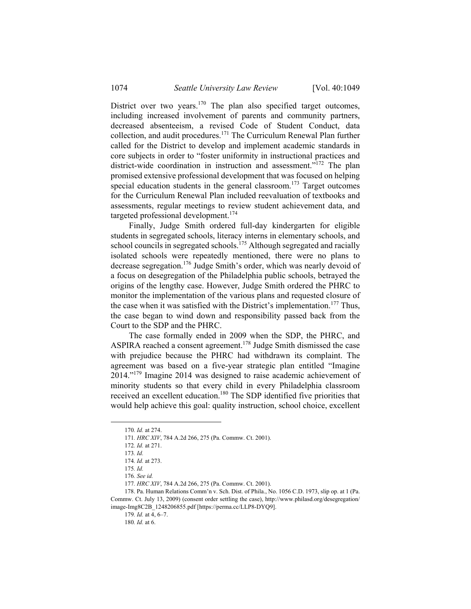District over two years. $170$  The plan also specified target outcomes, including increased involvement of parents and community partners, decreased absenteeism, a revised Code of Student Conduct, data collection, and audit procedures.171 The Curriculum Renewal Plan further called for the District to develop and implement academic standards in core subjects in order to "foster uniformity in instructional practices and district-wide coordination in instruction and assessment."<sup>172</sup> The plan promised extensive professional development that was focused on helping special education students in the general classroom.<sup>173</sup> Target outcomes for the Curriculum Renewal Plan included reevaluation of textbooks and assessments, regular meetings to review student achievement data, and targeted professional development.<sup>174</sup>

Finally, Judge Smith ordered full-day kindergarten for eligible students in segregated schools, literacy interns in elementary schools, and school councils in segregated schools.<sup>175</sup> Although segregated and racially isolated schools were repeatedly mentioned, there were no plans to decrease segregation.176 Judge Smith's order, which was nearly devoid of a focus on desegregation of the Philadelphia public schools, betrayed the origins of the lengthy case. However, Judge Smith ordered the PHRC to monitor the implementation of the various plans and requested closure of the case when it was satisfied with the District's implementation.<sup>177</sup> Thus, the case began to wind down and responsibility passed back from the Court to the SDP and the PHRC.

The case formally ended in 2009 when the SDP, the PHRC, and ASPIRA reached a consent agreement.<sup>178</sup> Judge Smith dismissed the case with prejudice because the PHRC had withdrawn its complaint. The agreement was based on a five-year strategic plan entitled "Imagine 2014."179 Imagine 2014 was designed to raise academic achievement of minority students so that every child in every Philadelphia classroom received an excellent education.180 The SDP identified five priorities that would help achieve this goal: quality instruction, school choice, excellent

 <sup>170</sup>*. Id.* at 274.

<sup>171</sup>*. HRC XIV*, 784 A.2d 266, 275 (Pa. Commw. Ct. 2001).

<sup>172</sup>*. Id.* at 271.

<sup>173</sup>*. Id.*

<sup>174</sup>*. Id.* at 273.

<sup>175</sup>*. Id.*

<sup>176</sup>*. See id.*

<sup>177</sup>*. HRC XIV*, 784 A.2d 266, 275 (Pa. Commw. Ct. 2001).

 <sup>178.</sup> Pa. Human Relations Comm'n v. Sch. Dist. of Phila., No. 1056 C.D. 1973, slip op. at 1 (Pa. Commw. Ct. July 13, 2009) (consent order settling the case), http://www.philasd.org/desegregation/ image-Img8C2B\_1248206855.pdf [https://perma.cc/LLP8-DYQ9].

<sup>179</sup>*. Id.* at 4, 6–7.

<sup>180</sup>*. Id.* at 6.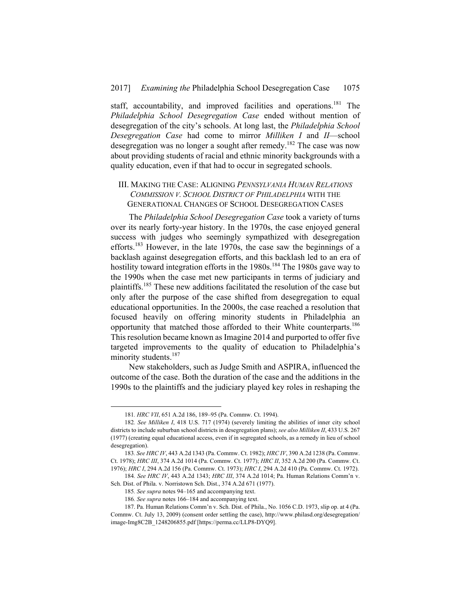staff, accountability, and improved facilities and operations.<sup>181</sup> The *Philadelphia School Desegregation Case* ended without mention of desegregation of the city's schools. At long last, the *Philadelphia School Desegregation Case* had come to mirror *Milliken I* and *II*—school desegregation was no longer a sought after remedy.182 The case was now about providing students of racial and ethnic minority backgrounds with a quality education, even if that had to occur in segregated schools.

# III. MAKING THE CASE: ALIGNING *PENNSYLVANIA HUMAN RELATIONS COMMISSION V. SCHOOL DISTRICT OF PHILADELPHIA* WITH THE GENERATIONAL CHANGES OF SCHOOL DESEGREGATION CASES

The *Philadelphia School Desegregation Case* took a variety of turns over its nearly forty-year history. In the 1970s, the case enjoyed general success with judges who seemingly sympathized with desegregation efforts.183 However, in the late 1970s, the case saw the beginnings of a backlash against desegregation efforts, and this backlash led to an era of hostility toward integration efforts in the  $1980s$ .<sup>184</sup> The 1980s gave way to the 1990s when the case met new participants in terms of judiciary and plaintiffs.185 These new additions facilitated the resolution of the case but only after the purpose of the case shifted from desegregation to equal educational opportunities. In the 2000s, the case reached a resolution that focused heavily on offering minority students in Philadelphia an opportunity that matched those afforded to their White counterparts.<sup>186</sup> This resolution became known as Imagine 2014 and purported to offer five targeted improvements to the quality of education to Philadelphia's minority students.<sup>187</sup>

New stakeholders, such as Judge Smith and ASPIRA, influenced the outcome of the case. Both the duration of the case and the additions in the 1990s to the plaintiffs and the judiciary played key roles in reshaping the

 <sup>181</sup>*. HRC VII*, 651 A.2d 186, 189–95 (Pa. Commw. Ct. 1994).

<sup>182</sup>*. See Milliken I*, 418 U.S. 717 (1974) (severely limiting the abilities of inner city school districts to include suburban school districts in desegregation plans); *see also Milliken II*, 433 U.S. 267 (1977) (creating equal educational access, even if in segregated schools, as a remedy in lieu of school desegregation).

<sup>183</sup>*. See HRC IV*, 443 A.2d 1343 (Pa. Commw. Ct. 1982); *HRC IV*, 390 A.2d 1238 (Pa. Commw. Ct. 1978); *HRC III*, 374 A.2d 1014 (Pa. Commw. Ct. 1977); *HRC II*, 352 A.2d 200 (Pa. Commw. Ct. 1976); *HRC I*, 294 A.2d 156 (Pa. Commw. Ct. 1973); *HRC I*, 294 A.2d 410 (Pa. Commw. Ct. 1972).

<sup>184</sup>*. See HRC IV*, 443 A.2d 1343; *HRC III*, 374 A.2d 1014; Pa. Human Relations Comm'n v. Sch. Dist. of Phila. v. Norristown Sch. Dist., 374 A.2d 671 (1977).

<sup>185</sup>*. See supra* notes 94–165 and accompanying text.

<sup>186</sup>*. See supra* notes 166–184 and accompanying text.

 <sup>187.</sup> Pa. Human Relations Comm'n v. Sch. Dist. of Phila., No. 1056 C.D. 1973, slip op. at 4 (Pa. Commw. Ct. July 13, 2009) (consent order settling the case), http://www.philasd.org/desegregation/ image-Img8C2B\_1248206855.pdf [https://perma.cc/LLP8-DYQ9].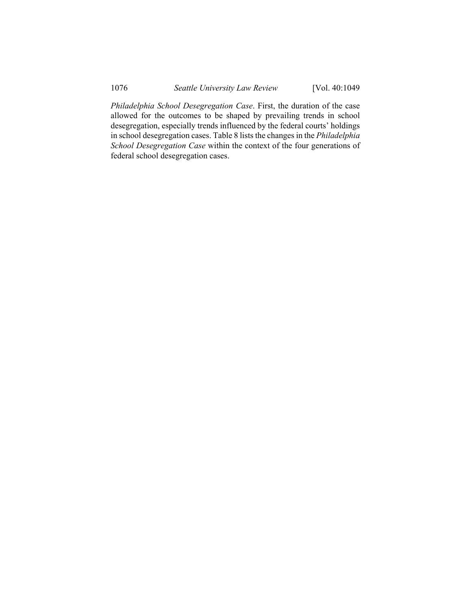*Philadelphia School Desegregation Case*. First, the duration of the case allowed for the outcomes to be shaped by prevailing trends in school desegregation, especially trends influenced by the federal courts' holdings in school desegregation cases. Table 8 lists the changes in the *Philadelphia School Desegregation Case* within the context of the four generations of federal school desegregation cases.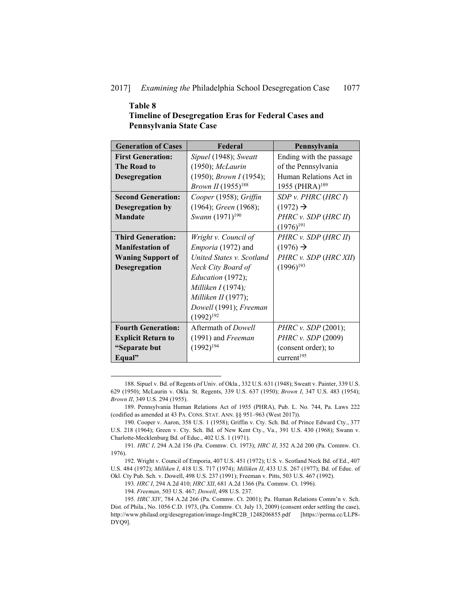#### 2017] *Examining the* Philadelphia School Desegregation Case 1077

# **Table 8 Timeline of Desegregation Eras for Federal Cases and Pennsylvania State Case**

| <b>Generation of Cases</b> | Federal                        | Pennsylvania                  |
|----------------------------|--------------------------------|-------------------------------|
| <b>First Generation:</b>   | Sipuel (1948); Sweatt          | Ending with the passage       |
| The Road to                | $(1950)$ ; McLaurin            | of the Pennsylvania           |
| <b>Desegregation</b>       | (1950); Brown I (1954);        | Human Relations Act in        |
|                            | <i>Brown II</i> $(1955)^{188}$ | 1955 (PHRA) <sup>189</sup>    |
| <b>Second Generation:</b>  | Cooper (1958); Griffin         | SDP v. PHRC (HRC I)           |
| Desegregation by           | $(1964)$ ; Green $(1968)$ ;    | $(1972) \rightarrow$          |
| <b>Mandate</b>             | Swann (1971) <sup>190</sup>    | PHRC v. SDP (HRC II)          |
|                            |                                | $(1976)^{191}$                |
| <b>Third Generation:</b>   | Wright v. Council of           | PHRC v. SDP (HRC II)          |
| <b>Manifestation of</b>    | <i>Emporia</i> (1972) and      | $(1976) \rightarrow$          |
| <b>Waning Support of</b>   | United States v. Scotland      | PHRC v. SDP (HRC XII)         |
| Desegregation              | Neck City Board of             | $(1996)^{193}$                |
|                            | Education (1972);              |                               |
|                            | Milliken $I(1974)$ ;           |                               |
|                            | Milliken II (1977);            |                               |
|                            | Dowell (1991); Freeman         |                               |
|                            | $(1992)^{192}$                 |                               |
| <b>Fourth Generation:</b>  | Aftermath of <i>Dowell</i>     | <i>PHRC v. SDP</i> $(2001)$ ; |
| <b>Explicit Return to</b>  | $(1991)$ and Freeman           | PHRC v. SDP (2009)            |
| "Separate but              | $(1992)^{194}$                 | (consent order); to           |
| Equal"                     |                                | current <sup>195</sup>        |

 <sup>188.</sup> Sipuel v. Bd. of Regents of Univ. of Okla., 332 U.S. 631 (1948); Sweatt v. Painter, 339 U.S. 629 (1950); McLaurin v. Okla. St. Regents, 339 U.S. 637 (1950); *Brown I*, 347 U.S. 483 (1954); *Brown II*, 349 U.S. 294 (1955).

 <sup>189.</sup> Pennsylvania Human Relations Act of 1955 (PHRA), Pub. L. No. 744, Pa. Laws 222 (codified as amended at 43 PA. CONS. STAT. ANN. §§ 951–963 (West 2017)).

 <sup>190.</sup> Cooper v. Aaron, 358 U.S. 1 (1958); Griffin v. Cty. Sch. Bd. of Prince Edward Cty., 377 U.S. 218 (1964); Green v. Cty. Sch. Bd. of New Kent Cty., Va., 391 U.S. 430 (1968); Swann v. Charlotte-Mecklenburg Bd. of Educ., 402 U.S. 1 (1971).

<sup>191</sup>*. HRC I*, 294 A.2d 156 (Pa. Commw. Ct. 1973); *HRC II*, 352 A.2d 200 (Pa. Commw. Ct. 1976).

 <sup>192.</sup> Wright v. Council of Emporia, 407 U.S. 451 (1972); U.S. v. Scotland Neck Bd. of Ed., 407 U.S. 484 (1972); *Milliken I*, 418 U.S. 717 (1974); *Milliken II*, 433 U.S. 267 (1977); Bd. of Educ. of Okl. Cty Pub. Sch. v. Dowell, 498 U.S. 237 (1991); Freeman v. Pitts, 503 U.S. 467 (1992).

<sup>193</sup>*. HRC I*, 294 A.2d 410; *HRC XII*, 681 A.2d 1366 (Pa. Commw. Ct. 1996).

<sup>194</sup>*. Freeman*, 503 U.S. 467; *Dowell*, 498 U.S. 237.

<sup>195</sup>*. HRC XIV*, 784 A.2d 266 (Pa. Commw. Ct. 2001); Pa. Human Relations Comm'n v. Sch. Dist. of Phila., No. 1056 C.D. 1973, (Pa. Commw. Ct. July 13, 2009) (consent order settling the case), http://www.philasd.org/desegregation/image-Img8C2B\_1248206855.pdf [https://perma.cc/LLP8- DYQ9].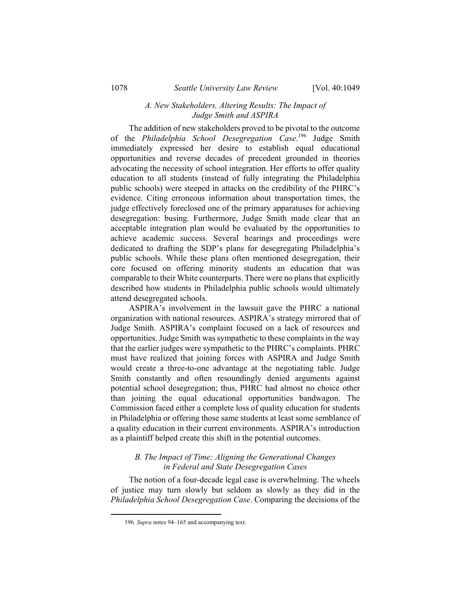#### *A. New Stakeholders, Altering Results: The Impact of Judge Smith and ASPIRA*

The addition of new stakeholders proved to be pivotal to the outcome of the *Philadelphia School Desegregation Case*. 196 Judge Smith immediately expressed her desire to establish equal educational opportunities and reverse decades of precedent grounded in theories advocating the necessity of school integration. Her efforts to offer quality education to all students (instead of fully integrating the Philadelphia public schools) were steeped in attacks on the credibility of the PHRC's evidence. Citing erroneous information about transportation times, the judge effectively foreclosed one of the primary apparatuses for achieving desegregation: busing. Furthermore, Judge Smith made clear that an acceptable integration plan would be evaluated by the opportunities to achieve academic success. Several hearings and proceedings were dedicated to drafting the SDP's plans for desegregating Philadelphia's public schools. While these plans often mentioned desegregation, their core focused on offering minority students an education that was comparable to their White counterparts. There were no plans that explicitly described how students in Philadelphia public schools would ultimately attend desegregated schools.

ASPIRA's involvement in the lawsuit gave the PHRC a national organization with national resources. ASPIRA's strategy mirrored that of Judge Smith. ASPIRA's complaint focused on a lack of resources and opportunities. Judge Smith was sympathetic to these complaints in the way that the earlier judges were sympathetic to the PHRC's complaints. PHRC must have realized that joining forces with ASPIRA and Judge Smith would create a three-to-one advantage at the negotiating table. Judge Smith constantly and often resoundingly denied arguments against potential school desegregation; thus, PHRC had almost no choice other than joining the equal educational opportunities bandwagon. The Commission faced either a complete loss of quality education for students in Philadelphia or offering those same students at least some semblance of a quality education in their current environments. ASPIRA's introduction as a plaintiff helped create this shift in the potential outcomes.

# *B. The Impact of Time: Aligning the Generational Changes in Federal and State Desegregation Cases*

The notion of a four-decade legal case is overwhelming. The wheels of justice may turn slowly but seldom as slowly as they did in the *Philadelphia School Desegregation Case*. Comparing the decisions of the

 <sup>196</sup>*. Supra* notes 94–165 and accompanying text.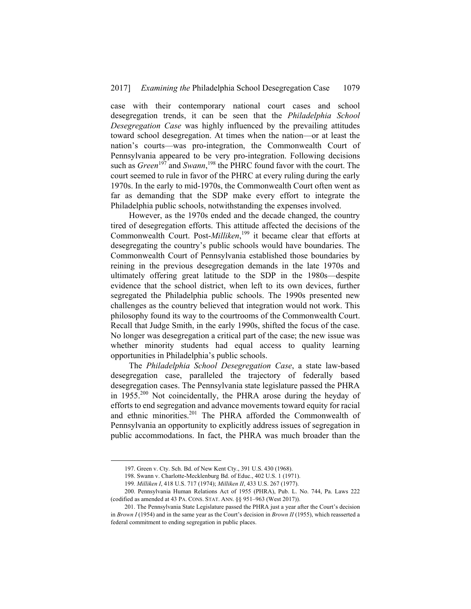case with their contemporary national court cases and school desegregation trends, it can be seen that the *Philadelphia School Desegregation Case* was highly influenced by the prevailing attitudes toward school desegregation. At times when the nation—or at least the nation's courts—was pro-integration, the Commonwealth Court of Pennsylvania appeared to be very pro-integration. Following decisions such as *Green*<sup>197</sup> and *Swann*,<sup>198</sup> the PHRC found favor with the court. The court seemed to rule in favor of the PHRC at every ruling during the early 1970s. In the early to mid-1970s, the Commonwealth Court often went as far as demanding that the SDP make every effort to integrate the Philadelphia public schools, notwithstanding the expenses involved.

However, as the 1970s ended and the decade changed, the country tired of desegregation efforts. This attitude affected the decisions of the Commonwealth Court. Post-*Milliken*, 199 it became clear that efforts at desegregating the country's public schools would have boundaries. The Commonwealth Court of Pennsylvania established those boundaries by reining in the previous desegregation demands in the late 1970s and ultimately offering great latitude to the SDP in the 1980s—despite evidence that the school district, when left to its own devices, further segregated the Philadelphia public schools. The 1990s presented new challenges as the country believed that integration would not work. This philosophy found its way to the courtrooms of the Commonwealth Court. Recall that Judge Smith, in the early 1990s, shifted the focus of the case. No longer was desegregation a critical part of the case; the new issue was whether minority students had equal access to quality learning opportunities in Philadelphia's public schools.

The *Philadelphia School Desegregation Case*, a state law-based desegregation case, paralleled the trajectory of federally based desegregation cases. The Pennsylvania state legislature passed the PHRA in 1955.200 Not coincidentally, the PHRA arose during the heyday of efforts to end segregation and advance movements toward equity for racial and ethnic minorities.<sup>201</sup> The PHRA afforded the Commonwealth of Pennsylvania an opportunity to explicitly address issues of segregation in public accommodations. In fact, the PHRA was much broader than the

 <sup>197.</sup> Green v. Cty. Sch. Bd. of New Kent Cty., 391 U.S. 430 (1968).

 <sup>198.</sup> Swann v. Charlotte-Mecklenburg Bd. of Educ., 402 U.S. 1 (1971).

<sup>199</sup>*. Milliken I*, 418 U.S. 717 (1974); *Milliken II*, 433 U.S. 267 (1977).

 <sup>200.</sup> Pennsylvania Human Relations Act of 1955 (PHRA), Pub. L. No. 744, Pa. Laws 222 (codified as amended at 43 PA. CONS. STAT. ANN. §§ 951–963 (West 2017)).

 <sup>201.</sup> The Pennsylvania State Legislature passed the PHRA just a year after the Court's decision in *Brown I* (1954) and in the same year as the Court's decision in *Brown II* (1955), which reasserted a federal commitment to ending segregation in public places.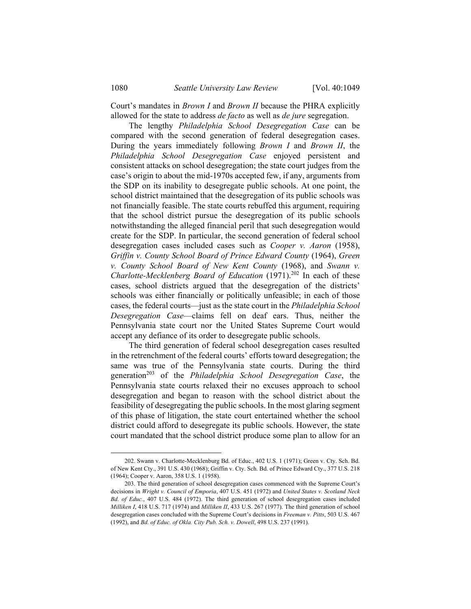Court's mandates in *Brown I* and *Brown II* because the PHRA explicitly allowed for the state to address *de facto* as well as *de jure* segregation.

The lengthy *Philadelphia School Desegregation Case* can be compared with the second generation of federal desegregation cases. During the years immediately following *Brown I* and *Brown II*, the *Philadelphia School Desegregation Case* enjoyed persistent and consistent attacks on school desegregation; the state court judges from the case's origin to about the mid-1970s accepted few, if any, arguments from the SDP on its inability to desegregate public schools. At one point, the school district maintained that the desegregation of its public schools was not financially feasible. The state courts rebuffed this argument, requiring that the school district pursue the desegregation of its public schools notwithstanding the alleged financial peril that such desegregation would create for the SDP. In particular, the second generation of federal school desegregation cases included cases such as *Cooper v. Aaron* (1958), *Griffin v. County School Board of Prince Edward County* (1964), *Green v. County School Board of New Kent County* (1968), and *Swann v. Charlotte-Mecklenberg Board of Education* (1971).<sup>202</sup> In each of these cases, school districts argued that the desegregation of the districts' schools was either financially or politically unfeasible; in each of those cases, the federal courts—just as the state court in the *Philadelphia School Desegregation Case*—claims fell on deaf ears. Thus, neither the Pennsylvania state court nor the United States Supreme Court would accept any defiance of its order to desegregate public schools.

The third generation of federal school desegregation cases resulted in the retrenchment of the federal courts' efforts toward desegregation; the same was true of the Pennsylvania state courts. During the third generation<sup>203</sup> of the *Philadelphia School Desegregation Case*, the Pennsylvania state courts relaxed their no excuses approach to school desegregation and began to reason with the school district about the feasibility of desegregating the public schools. In the most glaring segment of this phase of litigation, the state court entertained whether the school district could afford to desegregate its public schools. However, the state court mandated that the school district produce some plan to allow for an

 <sup>202.</sup> Swann v. Charlotte-Mecklenburg Bd. of Educ., 402 U.S. 1 (1971); Green v. Cty. Sch. Bd. of New Kent Cty., 391 U.S. 430 (1968); Griffin v. Cty. Sch. Bd. of Prince Edward Cty., 377 U.S. 218 (1964); Cooper v. Aaron, 358 U.S. 1 (1958).

 <sup>203.</sup> The third generation of school desegregation cases commenced with the Supreme Court's decisions in *Wright v. Council of Emporia*, 407 U.S. 451 (1972) and *United States v. Scotland Neck Bd. of Educ.*, 407 U.S. 484 (1972). The third generation of school desegregation cases included *Milliken I*, 418 U.S. 717 (1974) and *Milliken II*, 433 U.S. 267 (1977). The third generation of school desegregation cases concluded with the Supreme Court's decisions in *Freeman v. Pitts*, 503 U.S. 467 (1992), and *Bd. of Educ. of Okla. City Pub. Sch. v. Dowell*, 498 U.S. 237 (1991).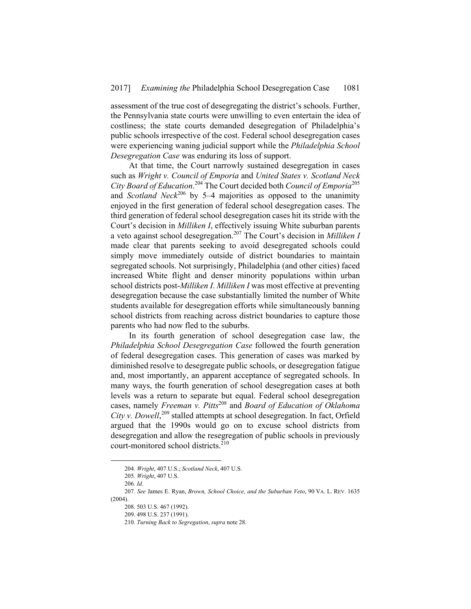assessment of the true cost of desegregating the district's schools. Further, the Pennsylvania state courts were unwilling to even entertain the idea of costliness; the state courts demanded desegregation of Philadelphia's public schools irrespective of the cost. Federal school desegregation cases were experiencing waning judicial support while the *Philadelphia School Desegregation Case* was enduring its loss of support.

At that time, the Court narrowly sustained desegregation in cases such as *Wright v. Council of Emporia* and *United States v. Scotland Neck City Board of Education*. 204 The Court decided both *Council of Emporia*<sup>205</sup> and *Scotland Neck*<sup>206</sup> by 5–4 majorities as opposed to the unanimity enjoyed in the first generation of federal school desegregation cases. The third generation of federal school desegregation cases hit its stride with the Court's decision in *Milliken I*, effectively issuing White suburban parents a veto against school desegregation.207 The Court's decision in *Milliken I* made clear that parents seeking to avoid desegregated schools could simply move immediately outside of district boundaries to maintain segregated schools. Not surprisingly, Philadelphia (and other cities) faced increased White flight and denser minority populations within urban school districts post-*Milliken I*. *Milliken I* was most effective at preventing desegregation because the case substantially limited the number of White students available for desegregation efforts while simultaneously banning school districts from reaching across district boundaries to capture those parents who had now fled to the suburbs.

In its fourth generation of school desegregation case law, the *Philadelphia School Desegregation Case* followed the fourth generation of federal desegregation cases. This generation of cases was marked by diminished resolve to desegregate public schools, or desegregation fatigue and, most importantly, an apparent acceptance of segregated schools. In many ways, the fourth generation of school desegregation cases at both levels was a return to separate but equal. Federal school desegregation cases, namely *Freeman v. Pitts*208 and *Board of Education of Oklahoma*  City v. Dowell,<sup>209</sup> stalled attempts at school desegregation. In fact, Orfield argued that the 1990s would go on to excuse school districts from desegregation and allow the resegregation of public schools in previously court-monitored school districts.<sup>210</sup>

 <sup>204</sup>*. Wright*, 407 U.S.; *Scotland Neck*, 407 U.S.

<sup>205</sup>*. Wright*, 407 U.S.

<sup>206</sup>*. Id.*

<sup>207</sup>*. See* James E. Ryan, *Brown, School Choice, and the Suburban Veto*, 90 VA. L. REV. 1635 (2004).

 <sup>208. 503</sup> U.S. 467 (1992).

 <sup>209. 498</sup> U.S. 237 (1991).

<sup>210</sup>*. Turning Back to Segregation*, *supra* note 28.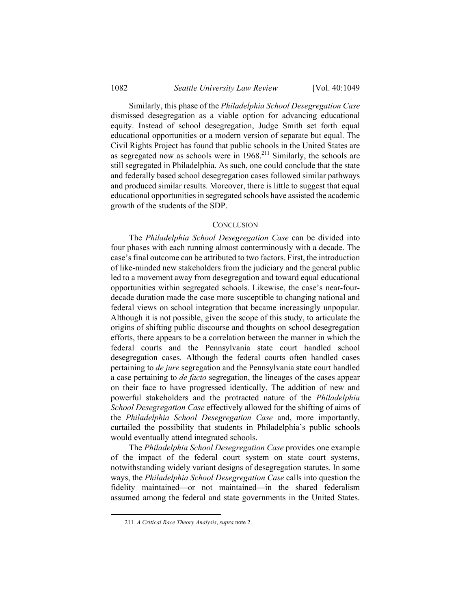Similarly, this phase of the *Philadelphia School Desegregation Case* dismissed desegregation as a viable option for advancing educational equity. Instead of school desegregation, Judge Smith set forth equal educational opportunities or a modern version of separate but equal. The Civil Rights Project has found that public schools in the United States are as segregated now as schools were in  $1968$ <sup>211</sup> Similarly, the schools are still segregated in Philadelphia. As such, one could conclude that the state and federally based school desegregation cases followed similar pathways and produced similar results. Moreover, there is little to suggest that equal educational opportunities in segregated schools have assisted the academic growth of the students of the SDP.

#### **CONCLUSION**

The *Philadelphia School Desegregation Case* can be divided into four phases with each running almost conterminously with a decade. The case's final outcome can be attributed to two factors. First, the introduction of like-minded new stakeholders from the judiciary and the general public led to a movement away from desegregation and toward equal educational opportunities within segregated schools. Likewise, the case's near-fourdecade duration made the case more susceptible to changing national and federal views on school integration that became increasingly unpopular. Although it is not possible, given the scope of this study, to articulate the origins of shifting public discourse and thoughts on school desegregation efforts, there appears to be a correlation between the manner in which the federal courts and the Pennsylvania state court handled school desegregation cases. Although the federal courts often handled cases pertaining to *de jure* segregation and the Pennsylvania state court handled a case pertaining to *de facto* segregation, the lineages of the cases appear on their face to have progressed identically. The addition of new and powerful stakeholders and the protracted nature of the *Philadelphia School Desegregation Case* effectively allowed for the shifting of aims of the *Philadelphia School Desegregation Case* and, more importantly, curtailed the possibility that students in Philadelphia's public schools would eventually attend integrated schools.

The *Philadelphia School Desegregation Case* provides one example of the impact of the federal court system on state court systems, notwithstanding widely variant designs of desegregation statutes. In some ways, the *Philadelphia School Desegregation Case* calls into question the fidelity maintained—or not maintained—in the shared federalism assumed among the federal and state governments in the United States.

 <sup>211</sup>*. A Critical Race Theory Analysis*, *supra* note 2.